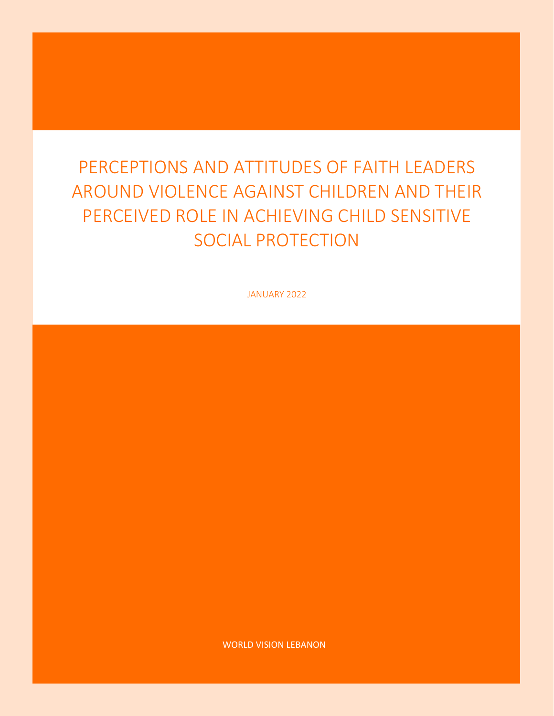# PERCEPTIONS AND ATTITUDES OF FAITH LEADERS AROUND VIOLENCE AGAINST CHILDREN AND THEIR PERCEIVED ROLE IN ACHIEVING CHILD SENSITIVE SOCIAL PROTECTION

JANUARY 2022

WORLD VISION LEBANON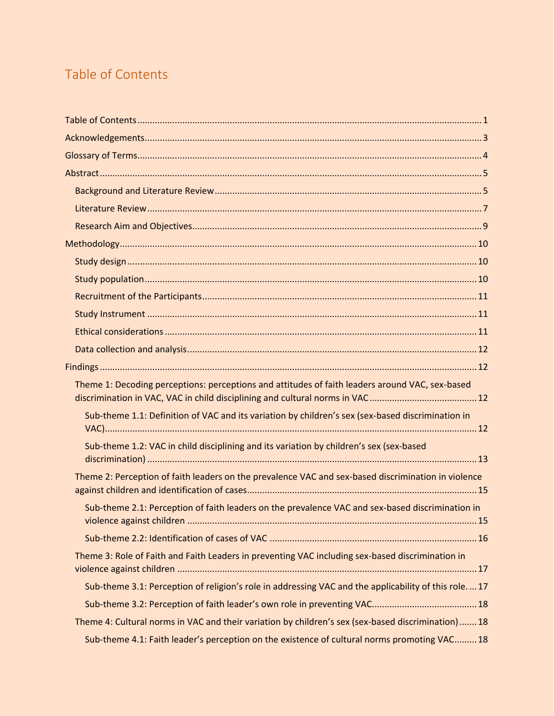# <span id="page-1-0"></span>Table of Contents

| Theme 1: Decoding perceptions: perceptions and attitudes of faith leaders around VAC, sex-based        |  |
|--------------------------------------------------------------------------------------------------------|--|
|                                                                                                        |  |
| Sub-theme 1.1: Definition of VAC and its variation by children's sex (sex-based discrimination in      |  |
| Sub-theme 1.2: VAC in child disciplining and its variation by children's sex (sex-based                |  |
| Theme 2: Perception of faith leaders on the prevalence VAC and sex-based discrimination in violence    |  |
| Sub-theme 2.1: Perception of faith leaders on the prevalence VAC and sex-based discrimination in       |  |
|                                                                                                        |  |
| Theme 3: Role of Faith and Faith Leaders in preventing VAC including sex-based discrimination in       |  |
| Sub-theme 3.1: Perception of religion's role in addressing VAC and the applicability of this role.  17 |  |
|                                                                                                        |  |
| Theme 4: Cultural norms in VAC and their variation by children's sex (sex-based discrimination) 18     |  |
| Sub-theme 4.1: Faith leader's perception on the existence of cultural norms promoting VAC 18           |  |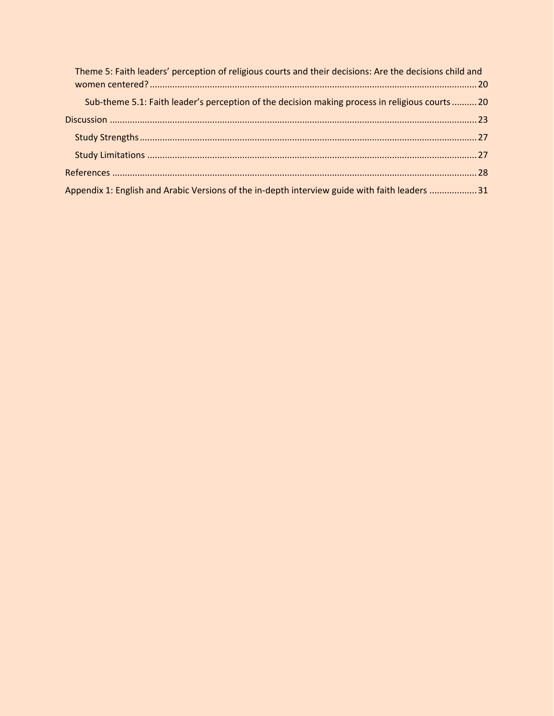| Theme 5: Faith leaders' perception of religious courts and their decisions: Are the decisions child and |
|---------------------------------------------------------------------------------------------------------|
| Sub-theme 5.1: Faith leader's perception of the decision making process in religious courts 20          |
|                                                                                                         |
|                                                                                                         |
|                                                                                                         |
|                                                                                                         |
| Appendix 1: English and Arabic Versions of the in-depth interview guide with faith leaders 31           |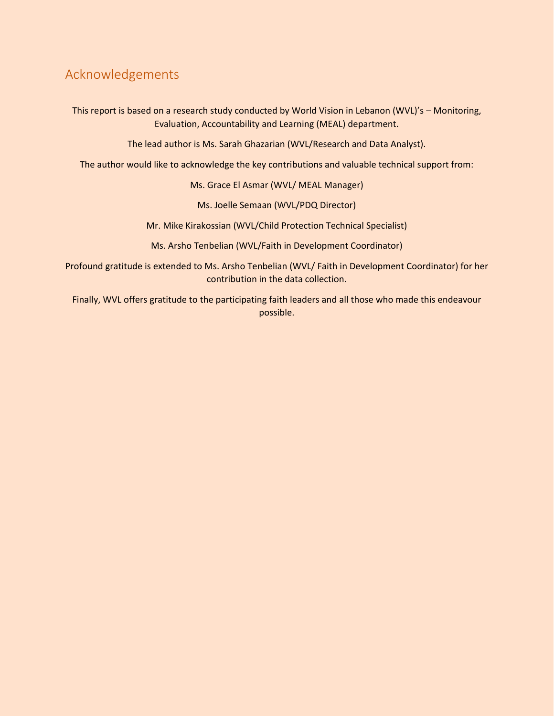# <span id="page-3-0"></span>Acknowledgements

This report is based on a research study conducted by World Vision in Lebanon (WVL)'s – Monitoring, Evaluation, Accountability and Learning (MEAL) department.

The lead author is Ms. Sarah Ghazarian (WVL/Research and Data Analyst).

The author would like to acknowledge the key contributions and valuable technical support from:

Ms. Grace El Asmar (WVL/ MEAL Manager)

Ms. Joelle Semaan (WVL/PDQ Director)

Mr. Mike Kirakossian (WVL/Child Protection Technical Specialist)

Ms. Arsho Tenbelian (WVL/Faith in Development Coordinator)

Profound gratitude is extended to Ms. Arsho Tenbelian (WVL/ Faith in Development Coordinator) for her contribution in the data collection.

Finally, WVL offers gratitude to the participating faith leaders and all those who made this endeavour possible.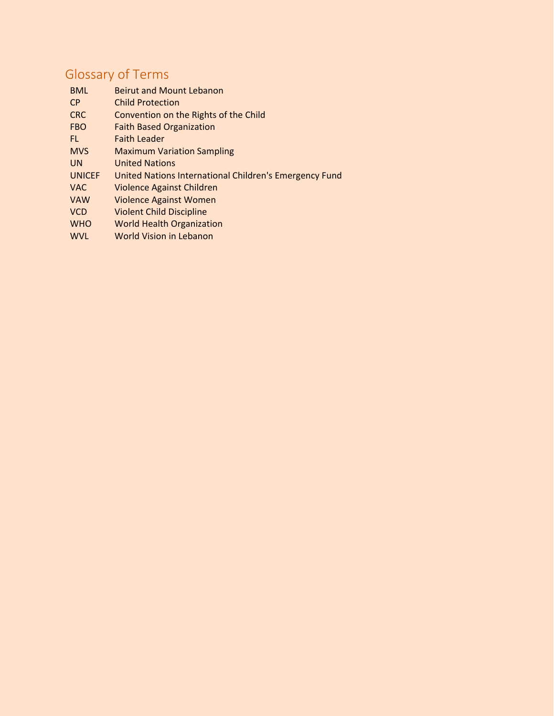# <span id="page-4-0"></span>Glossary of Terms

| <b>BML</b>    | <b>Beirut and Mount Lebanon</b>                        |
|---------------|--------------------------------------------------------|
| <b>CP</b>     | <b>Child Protection</b>                                |
| <b>CRC</b>    | Convention on the Rights of the Child                  |
| <b>FBO</b>    | <b>Faith Based Organization</b>                        |
| FL.           | <b>Faith Leader</b>                                    |
| <b>MVS</b>    | <b>Maximum Variation Sampling</b>                      |
| <b>UN</b>     | <b>United Nations</b>                                  |
| <b>UNICEF</b> | United Nations International Children's Emergency Fund |
| <b>VAC</b>    | Violence Against Children                              |
| <b>VAW</b>    | <b>Violence Against Women</b>                          |
| <b>VCD</b>    | <b>Violent Child Discipline</b>                        |
| <b>WHO</b>    | <b>World Health Organization</b>                       |
| <b>WVL</b>    | World Vision in Lebanon                                |
|               |                                                        |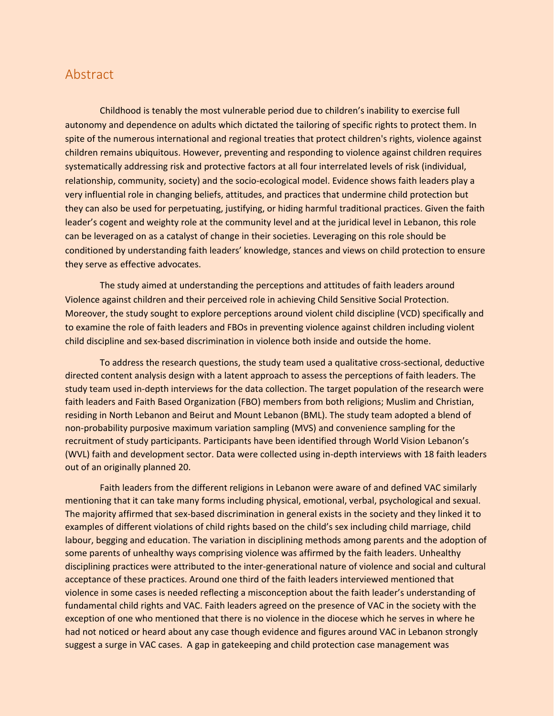### <span id="page-5-1"></span><span id="page-5-0"></span>Abstract

Childhood is tenably the most vulnerable period due to children's inability to exercise full autonomy and dependence on adults which dictated the tailoring of specific rights to protect them. In spite of the numerous international and regional treaties that protect children's rights, violence against children remains ubiquitous. However, preventing and responding to violence against children requires systematically addressing risk and protective factors at all four interrelated levels of risk (individual, relationship, community, society) and the socio-ecological model. Evidence shows faith leaders play a very influential role in changing beliefs, attitudes, and practices that undermine child protection but they can also be used for perpetuating, justifying, or hiding harmful traditional practices. Given the faith leader's cogent and weighty role at the community level and at the juridical level in Lebanon, this role can be leveraged on as a catalyst of change in their societies. Leveraging on this role should be conditioned by understanding faith leaders' knowledge, stances and views on child protection to ensure they serve as effective advocates.

The study aimed at understanding the perceptions and attitudes of faith leaders around Violence against children and their perceived role in achieving Child Sensitive Social Protection. Moreover, the study sought to explore perceptions around violent child discipline (VCD) specifically and to examine the role of faith leaders and FBOs in preventing violence against children including violent child discipline and sex-based discrimination in violence both inside and outside the home.

To address the research questions, the study team used a qualitative cross-sectional, deductive directed content analysis design with a latent approach to assess the perceptions of faith leaders. The study team used in-depth interviews for the data collection. The target population of the research were faith leaders and Faith Based Organization (FBO) members from both religions; Muslim and Christian, residing in North Lebanon and Beirut and Mount Lebanon (BML). The study team adopted a blend of non-probability purposive maximum variation sampling (MVS) and convenience sampling for the recruitment of study participants. Participants have been identified through World Vision Lebanon's (WVL) faith and development sector. Data were collected using in-depth interviews with 18 faith leaders out of an originally planned 20.

Faith leaders from the different religions in Lebanon were aware of and defined VAC similarly mentioning that it can take many forms including physical, emotional, verbal, psychological and sexual. The majority affirmed that sex-based discrimination in general exists in the society and they linked it to examples of different violations of child rights based on the child's sex including child marriage, child labour, begging and education. The variation in disciplining methods among parents and the adoption of some parents of unhealthy ways comprising violence was affirmed by the faith leaders. Unhealthy disciplining practices were attributed to the inter-generational nature of violence and social and cultural acceptance of these practices. Around one third of the faith leaders interviewed mentioned that violence in some cases is needed reflecting a misconception about the faith leader's understanding of fundamental child rights and VAC. Faith leaders agreed on the presence of VAC in the society with the exception of one who mentioned that there is no violence in the diocese which he serves in where he had not noticed or heard about any case though evidence and figures around VAC in Lebanon strongly suggest a surge in VAC cases. A gap in gatekeeping and child protection case management was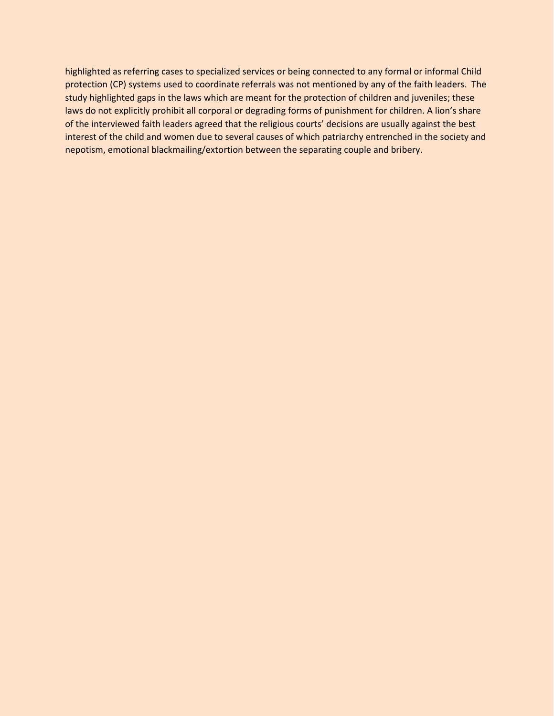highlighted as referring cases to specialized services or being connected to any formal or informal Child protection (CP) systems used to coordinate referrals was not mentioned by any of the faith leaders. The study highlighted gaps in the laws which are meant for the protection of children and juveniles; these laws do not explicitly prohibit all corporal or degrading forms of punishment for children. A lion's share of the interviewed faith leaders agreed that the religious courts' decisions are usually against the best interest of the child and women due to several causes of which patriarchy entrenched in the society and nepotism, emotional blackmailing/extortion between the separating couple and bribery.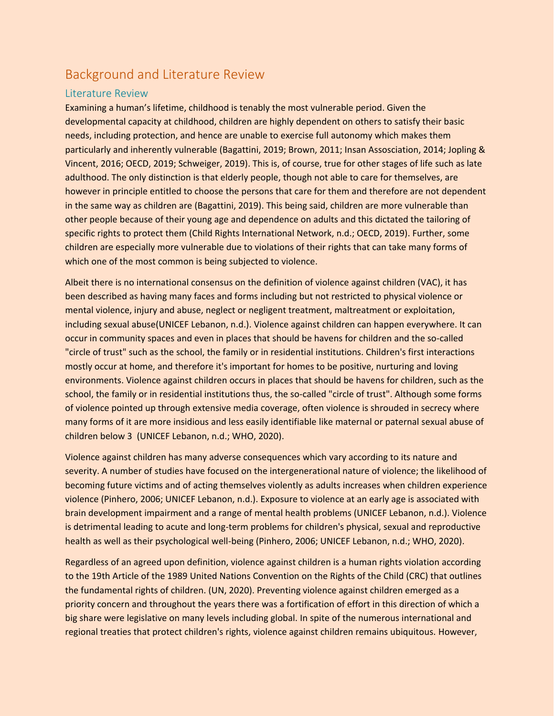# Background and Literature Review

#### <span id="page-7-0"></span>Literature Review

Examining a human's lifetime, childhood is tenably the most vulnerable period. Given the developmental capacity at childhood, children are highly dependent on others to satisfy their basic needs, including protection, and hence are unable to exercise full autonomy which makes them particularly and inherently vulnerable (Bagattini, 2019; Brown, 2011; Insan Assosciation, 2014; Jopling & Vincent, 2016; OECD, 2019; Schweiger, 2019). This is, of course, true for other stages of life such as late adulthood. The only distinction is that elderly people, though not able to care for themselves, are however in principle entitled to choose the persons that care for them and therefore are not dependent in the same way as children are (Bagattini, 2019). This being said, children are more vulnerable than other people because of their young age and dependence on adults and this dictated the tailoring of specific rights to protect them (Child Rights International Network, n.d.; OECD, 2019). Further, some children are especially more vulnerable due to violations of their rights that can take many forms of which one of the most common is being subjected to violence.

Albeit there is no international consensus on the definition of violence against children (VAC), it has been described as having many faces and forms including but not restricted to physical violence or mental violence, injury and abuse, neglect or negligent treatment, maltreatment or exploitation, including sexual abuse(UNICEF Lebanon, n.d.). Violence against children can happen everywhere. It can occur in community spaces and even in places that should be havens for children and the so-called "circle of trust" such as the school, the family or in residential institutions. Children's first interactions mostly occur at home, and therefore it's important for homes to be positive, nurturing and loving environments. Violence against children occurs in places that should be havens for children, such as the school, the family or in residential institutions thus, the so-called "circle of trust". Although some forms of violence pointed up through extensive media coverage, often violence is shrouded in secrecy where many forms of it are more insidious and less easily identifiable like maternal or paternal sexual abuse of children below 3 (UNICEF Lebanon, n.d.; WHO, 2020).

Violence against children has many adverse consequences which vary according to its nature and severity. A number of studies have focused on the intergenerational nature of violence; the likelihood of becoming future victims and of acting themselves violently as adults increases when children experience violence (Pinhero, 2006; UNICEF Lebanon, n.d.). Exposure to violence at an early age is associated with brain development impairment and a range of mental health problems (UNICEF Lebanon, n.d.). Violence is detrimental leading to acute and long-term problems for children's physical, sexual and reproductive health as well as their psychological well-being (Pinhero, 2006; UNICEF Lebanon, n.d.; WHO, 2020).

Regardless of an agreed upon definition, violence against children is a human rights violation according to the 19th Article of the 1989 United Nations Convention on the Rights of the Child (CRC) that outlines the fundamental rights of children. (UN, 2020). Preventing violence against children emerged as a priority concern and throughout the years there was a fortification of effort in this direction of which a big share were legislative on many levels including global. In spite of the numerous international and regional treaties that protect children's rights, violence against children remains ubiquitous. However,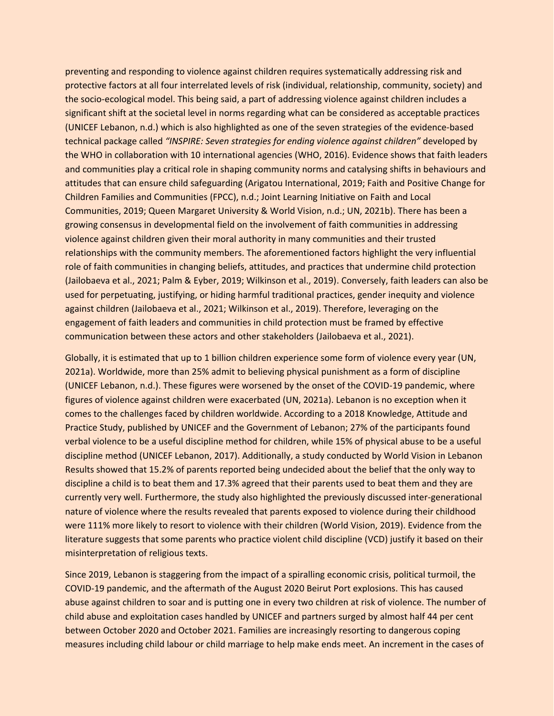preventing and responding to violence against children requires systematically addressing risk and protective factors at all four interrelated levels of risk (individual, relationship, community, society) and the socio-ecological model. This being said, a part of addressing violence against children includes a significant shift at the societal level in norms regarding what can be considered as acceptable practices (UNICEF Lebanon, n.d.) which is also highlighted as one of the seven strategies of the evidence-based technical package called *"INSPIRE: Seven strategies for ending violence against children"* developed by the WHO in collaboration with 10 international agencies (WHO, 2016). Evidence shows that faith leaders and communities play a critical role in shaping community norms and catalysing shifts in behaviours and attitudes that can ensure child safeguarding (Arigatou International, 2019; Faith and Positive Change for Children Families and Communities (FPCC), n.d.; Joint Learning Initiative on Faith and Local Communities, 2019; Queen Margaret University & World Vision, n.d.; UN, 2021b). There has been a growing consensus in developmental field on the involvement of faith communities in addressing violence against children given their moral authority in many communities and their trusted relationships with the community members. The aforementioned factors highlight the very influential role of faith communities in changing beliefs, attitudes, and practices that undermine child protection (Jailobaeva et al., 2021; Palm & Eyber, 2019; Wilkinson et al., 2019). Conversely, faith leaders can also be used for perpetuating, justifying, or hiding harmful traditional practices, gender inequity and violence against children (Jailobaeva et al., 2021; Wilkinson et al., 2019). Therefore, leveraging on the engagement of faith leaders and communities in child protection must be framed by effective communication between these actors and other stakeholders (Jailobaeva et al., 2021).

Globally, it is estimated that up to 1 billion children experience some form of violence every year (UN, 2021a). Worldwide, more than 25% admit to believing physical punishment as a form of discipline (UNICEF Lebanon, n.d.). These figures were worsened by the onset of the COVID-19 pandemic, where figures of violence against children were exacerbated (UN, 2021a). Lebanon is no exception when it comes to the challenges faced by children worldwide. According to a 2018 Knowledge, Attitude and Practice Study, published by UNICEF and the Government of Lebanon; 27% of the participants found verbal violence to be a useful discipline method for children, while 15% of physical abuse to be a useful discipline method (UNICEF Lebanon, 2017). Additionally, a study conducted by World Vision in Lebanon Results showed that 15.2% of parents reported being undecided about the belief that the only way to discipline a child is to beat them and 17.3% agreed that their parents used to beat them and they are currently very well. Furthermore, the study also highlighted the previously discussed inter-generational nature of violence where the results revealed that parents exposed to violence during their childhood were 111% more likely to resort to violence with their children (World Vision, 2019). Evidence from the literature suggests that some parents who practice violent child discipline (VCD) justify it based on their misinterpretation of religious texts.

Since 2019, Lebanon is staggering from the impact of a spiralling economic crisis, political turmoil, the COVID-19 pandemic, and the aftermath of the August 2020 Beirut Port explosions. This has caused abuse against children to soar and is putting one in every two children at risk of violence. The number of child abuse and exploitation cases handled by UNICEF and partners surged by almost half 44 per cent between October 2020 and October 2021. Families are increasingly resorting to dangerous coping measures including child labour or child marriage to help make ends meet. An increment in the cases of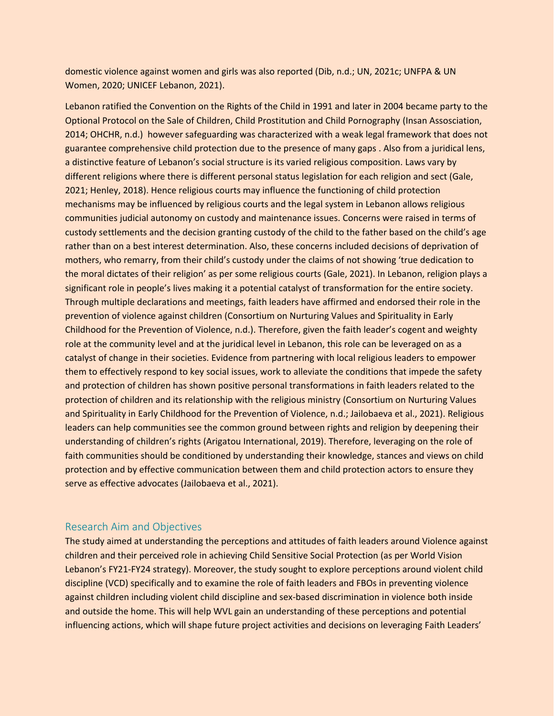domestic violence against women and girls was also reported (Dib, n.d.; UN, 2021c; UNFPA & UN Women, 2020; UNICEF Lebanon, 2021).

Lebanon ratified the Convention on the Rights of the Child in 1991 and later in 2004 became party to the Optional Protocol on the Sale of Children, Child Prostitution and Child Pornography (Insan Assosciation, 2014; OHCHR, n.d.) however safeguarding was characterized with a weak legal framework that does not guarantee comprehensive child protection due to the presence of many gaps . Also from a juridical lens, a distinctive feature of Lebanon's social structure is its varied religious composition. Laws vary by different religions where there is different personal status legislation for each religion and sect (Gale, 2021; Henley, 2018). Hence religious courts may influence the functioning of child protection mechanisms may be influenced by religious courts and the legal system in Lebanon allows religious communities judicial autonomy on custody and maintenance issues. Concerns were raised in terms of custody settlements and the decision granting custody of the child to the father based on the child's age rather than on a best interest determination. Also, these concerns included decisions of deprivation of mothers, who remarry, from their child's custody under the claims of not showing 'true dedication to the moral dictates of their religion' as per some religious courts (Gale, 2021). In Lebanon, religion plays a significant role in people's lives making it a potential catalyst of transformation for the entire society. Through multiple declarations and meetings, faith leaders have affirmed and endorsed their role in the prevention of violence against children (Consortium on Nurturing Values and Spirituality in Early Childhood for the Prevention of Violence, n.d.). Therefore, given the faith leader's cogent and weighty role at the community level and at the juridical level in Lebanon, this role can be leveraged on as a catalyst of change in their societies. Evidence from partnering with local religious leaders to empower them to effectively respond to key social issues, work to alleviate the conditions that impede the safety and protection of children has shown positive personal transformations in faith leaders related to the protection of children and its relationship with the religious ministry (Consortium on Nurturing Values and Spirituality in Early Childhood for the Prevention of Violence, n.d.; Jailobaeva et al., 2021). Religious leaders can help communities see the common ground between rights and religion by deepening their understanding of children's rights (Arigatou International, 2019). Therefore, leveraging on the role of faith communities should be conditioned by understanding their knowledge, stances and views on child protection and by effective communication between them and child protection actors to ensure they serve as effective advocates (Jailobaeva et al., 2021).

#### <span id="page-9-0"></span>Research Aim and Objectives

The study aimed at understanding the perceptions and attitudes of faith leaders around Violence against children and their perceived role in achieving Child Sensitive Social Protection (as per World Vision Lebanon's FY21-FY24 strategy). Moreover, the study sought to explore perceptions around violent child discipline (VCD) specifically and to examine the role of faith leaders and FBOs in preventing violence against children including violent child discipline and sex-based discrimination in violence both inside and outside the home. This will help WVL gain an understanding of these perceptions and potential influencing actions, which will shape future project activities and decisions on leveraging Faith Leaders'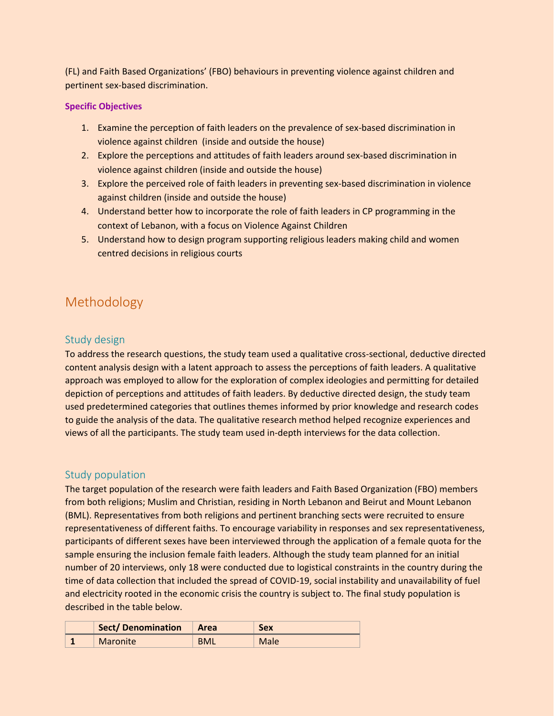(FL) and Faith Based Organizations' (FBO) behaviours in preventing violence against children and pertinent sex-based discrimination.

#### **Specific Objectives**

- 1. Examine the perception of faith leaders on the prevalence of sex-based discrimination in violence against children (inside and outside the house)
- 2. Explore the perceptions and attitudes of faith leaders around sex-based discrimination in violence against children (inside and outside the house)
- 3. Explore the perceived role of faith leaders in preventing sex-based discrimination in violence against children (inside and outside the house)
- 4. Understand better how to incorporate the role of faith leaders in CP programming in the context of Lebanon, with a focus on Violence Against Children
- 5. Understand how to design program supporting religious leaders making child and women centred decisions in religious courts

# <span id="page-10-0"></span>Methodology

#### <span id="page-10-1"></span>Study design

To address the research questions, the study team used a qualitative cross-sectional, deductive directed content analysis design with a latent approach to assess the perceptions of faith leaders. A qualitative approach was employed to allow for the exploration of complex ideologies and permitting for detailed depiction of perceptions and attitudes of faith leaders. By deductive directed design, the study team used predetermined categories that outlines themes informed by prior knowledge and research codes to guide the analysis of the data. The qualitative research method helped recognize experiences and views of all the participants. The study team used in-depth interviews for the data collection.

#### <span id="page-10-2"></span>Study population

The target population of the research were faith leaders and Faith Based Organization (FBO) members from both religions; Muslim and Christian, residing in North Lebanon and Beirut and Mount Lebanon (BML). Representatives from both religions and pertinent branching sects were recruited to ensure representativeness of different faiths. To encourage variability in responses and sex representativeness, participants of different sexes have been interviewed through the application of a female quota for the sample ensuring the inclusion female faith leaders. Although the study team planned for an initial number of 20 interviews, only 18 were conducted due to logistical constraints in the country during the time of data collection that included the spread of COVID-19, social instability and unavailability of fuel and electricity rooted in the economic crisis the country is subject to. The final study population is described in the table below.

| Sect/Denomination |                 | <b>Area</b> | <b>Sex</b> |
|-------------------|-----------------|-------------|------------|
|                   | <b>Maronite</b> | <b>BML</b>  | Male       |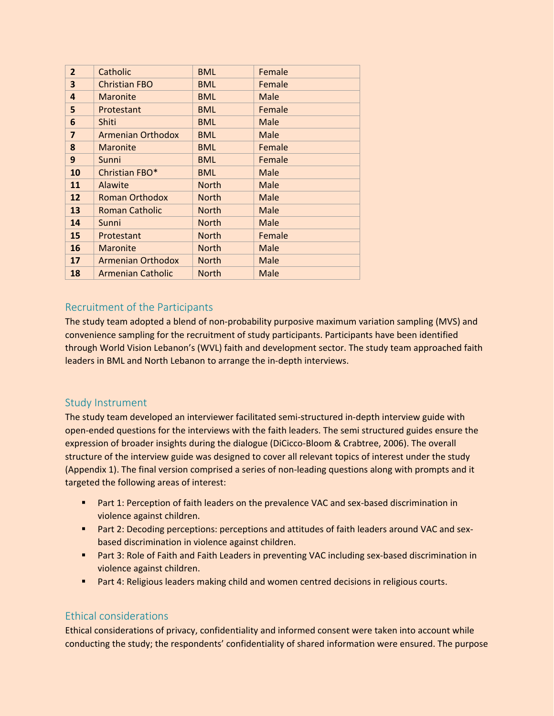| $\overline{2}$          | Catholic                 | <b>BML</b>   | Female |
|-------------------------|--------------------------|--------------|--------|
| 3                       | <b>Christian FBO</b>     | <b>BML</b>   | Female |
| 4                       | <b>Maronite</b>          | <b>BML</b>   | Male   |
| 5                       | Protestant               | <b>BML</b>   | Female |
| 6                       | Shiti                    | <b>BML</b>   | Male   |
| $\overline{\mathbf{z}}$ | <b>Armenian Orthodox</b> | <b>BML</b>   | Male   |
| 8                       | <b>Maronite</b>          | <b>BML</b>   | Female |
| 9                       | Sunni                    | <b>BML</b>   | Female |
| 10                      | Christian FBO*           | <b>BML</b>   | Male   |
| 11                      | Alawite                  | <b>North</b> | Male   |
| 12                      | <b>Roman Orthodox</b>    | <b>North</b> | Male   |
| 13                      | <b>Roman Catholic</b>    | <b>North</b> | Male   |
| 14                      | Sunni                    | <b>North</b> | Male   |
| 15                      | Protestant               | <b>North</b> | Female |
| 16                      | <b>Maronite</b>          | <b>North</b> | Male   |
| 17                      | <b>Armenian Orthodox</b> | <b>North</b> | Male   |
| 18                      | <b>Armenian Catholic</b> | <b>North</b> | Male   |
|                         |                          |              |        |

### <span id="page-11-0"></span>Recruitment of the Participants

The study team adopted a blend of non-probability purposive maximum variation sampling (MVS) and convenience sampling for the recruitment of study participants. Participants have been identified through World Vision Lebanon's (WVL) faith and development sector. The study team approached faith leaders in BML and North Lebanon to arrange the in-depth interviews.

#### <span id="page-11-1"></span>Study Instrument

The study team developed an interviewer facilitated semi-structured in-depth interview guide with open-ended questions for the interviews with the faith leaders. The semi structured guides ensure the expression of broader insights during the dialogue (DiCicco-Bloom & Crabtree, 2006). The overall structure of the interview guide was designed to cover all relevant topics of interest under the study (Appendix 1). The final version comprised a series of non-leading questions along with prompts and it targeted the following areas of interest:

- Part 1: Perception of faith leaders on the prevalence VAC and sex-based discrimination in violence against children.
- Part 2: Decoding perceptions: perceptions and attitudes of faith leaders around VAC and sexbased discrimination in violence against children.
- Part 3: Role of Faith and Faith Leaders in preventing VAC including sex-based discrimination in violence against children.
- Part 4: Religious leaders making child and women centred decisions in religious courts.

### <span id="page-11-2"></span>Ethical considerations

Ethical considerations of privacy, confidentiality and informed consent were taken into account while conducting the study; the respondents' confidentiality of shared information were ensured. The purpose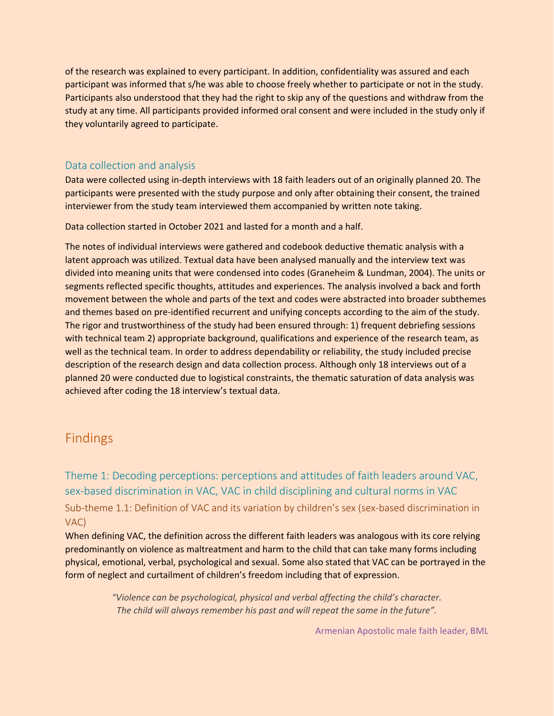of the research was explained to every participant. In addition, confidentiality was assured and each participant was informed that s/he was able to choose freely whether to participate or not in the study. Participants also understood that they had the right to skip any of the questions and withdraw from the study at any time. All participants provided informed oral consent and were included in the study only if they voluntarily agreed to participate.

### <span id="page-12-0"></span>Data collection and analysis

Data were collected using in-depth interviews with 18 faith leaders out of an originally planned 20. The participants were presented with the study purpose and only after obtaining their consent, the trained interviewer from the study team interviewed them accompanied by written note taking.

Data collection started in October 2021 and lasted for a month and a half.

The notes of individual interviews were gathered and codebook deductive thematic analysis with a latent approach was utilized. Textual data have been analysed manually and the interview text was divided into meaning units that were condensed into codes (Graneheim & Lundman, 2004). The units or segments reflected specific thoughts, attitudes and experiences. The analysis involved a back and forth movement between the whole and parts of the text and codes were abstracted into broader subthemes and themes based on pre-identified recurrent and unifying concepts according to the aim of the study. The rigor and trustworthiness of the study had been ensured through: 1) frequent debriefing sessions with technical team 2) appropriate background, qualifications and experience of the research team, as well as the technical team. In order to address dependability or reliability, the study included precise description of the research design and data collection process. Although only 18 interviews out of a planned 20 were conducted due to logistical constraints, the thematic saturation of data analysis was achieved after coding the 18 interview's textual data.

# <span id="page-12-1"></span>Findings

<span id="page-12-3"></span><span id="page-12-2"></span>Theme 1: Decoding perceptions: perceptions and attitudes of faith leaders around VAC, sex-based discrimination in VAC, VAC in child disciplining and cultural norms in VAC Sub-theme 1.1: Definition of VAC and its variation by children's sex (sex-based discrimination in VAC)

When defining VAC, the definition across the different faith leaders was analogous with its core relying predominantly on violence as maltreatment and harm to the child that can take many forms including physical, emotional, verbal, psychological and sexual. Some also stated that VAC can be portrayed in the form of neglect and curtailment of children's freedom including that of expression.

> *"Violence can be psychological, physical and verbal affecting the child's character. The child will always remember his past and will repeat the same in the future".*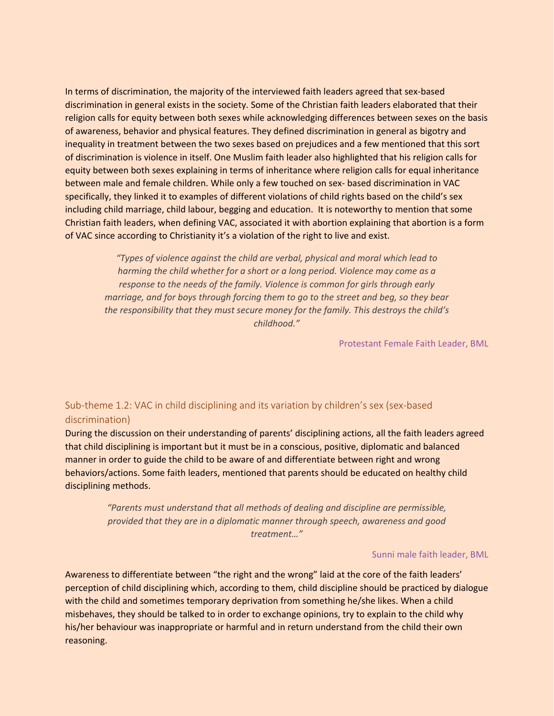In terms of discrimination, the majority of the interviewed faith leaders agreed that sex-based discrimination in general exists in the society. Some of the Christian faith leaders elaborated that their religion calls for equity between both sexes while acknowledging differences between sexes on the basis of awareness, behavior and physical features. They defined discrimination in general as bigotry and inequality in treatment between the two sexes based on prejudices and a few mentioned that this sort of discrimination is violence in itself. One Muslim faith leader also highlighted that his religion calls for equity between both sexes explaining in terms of inheritance where religion calls for equal inheritance between male and female children. While only a few touched on sex- based discrimination in VAC specifically, they linked it to examples of different violations of child rights based on the child's sex including child marriage, child labour, begging and education. It is noteworthy to mention that some Christian faith leaders, when defining VAC, associated it with abortion explaining that abortion is a form of VAC since according to Christianity it's a violation of the right to live and exist.

*"Types of violence against the child are verbal, physical and moral which lead to harming the child whether for a short or a long period. Violence may come as a response to the needs of the family. Violence is common for girls through early marriage, and for boys through forcing them to go to the street and beg, so they bear the responsibility that they must secure money for the family. This destroys the child's childhood."*

Protestant Female Faith Leader, BML

### <span id="page-13-0"></span>Sub-theme 1.2: VAC in child disciplining and its variation by children's sex (sex-based discrimination)

During the discussion on their understanding of parents' disciplining actions, all the faith leaders agreed that child disciplining is important but it must be in a conscious, positive, diplomatic and balanced manner in order to guide the child to be aware of and differentiate between right and wrong behaviors/actions. Some faith leaders, mentioned that parents should be educated on healthy child disciplining methods.

*"Parents must understand that all methods of dealing and discipline are permissible, provided that they are in a diplomatic manner through speech, awareness and good treatment…"*

#### Sunni male faith leader, BML

Awareness to differentiate between "the right and the wrong" laid at the core of the faith leaders' perception of child disciplining which, according to them, child discipline should be practiced by dialogue with the child and sometimes temporary deprivation from something he/she likes. When a child misbehaves, they should be talked to in order to exchange opinions, try to explain to the child why his/her behaviour was inappropriate or harmful and in return understand from the child their own reasoning.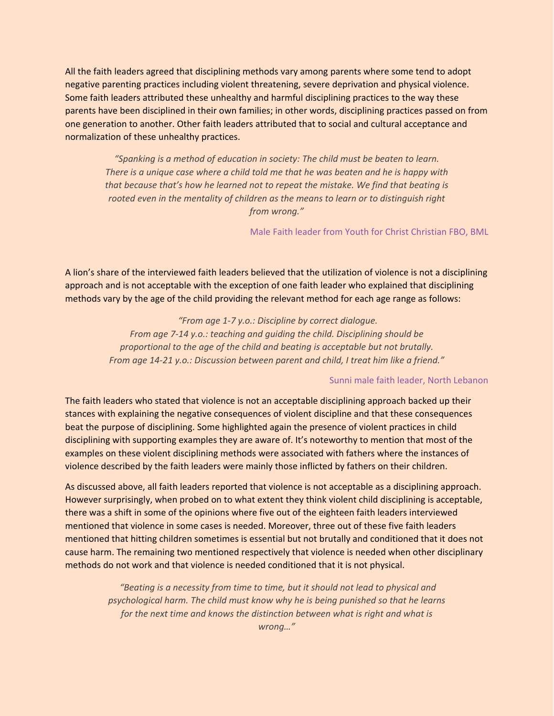All the faith leaders agreed that disciplining methods vary among parents where some tend to adopt negative parenting practices including violent threatening, severe deprivation and physical violence. Some faith leaders attributed these unhealthy and harmful disciplining practices to the way these parents have been disciplined in their own families; in other words, disciplining practices passed on from one generation to another. Other faith leaders attributed that to social and cultural acceptance and normalization of these unhealthy practices.

*"Spanking is a method of education in society: The child must be beaten to learn. There is a unique case where a child told me that he was beaten and he is happy with that because that's how he learned not to repeat the mistake. We find that beating is rooted even in the mentality of children as the means to learn or to distinguish right from wrong."*

#### Male Faith leader from Youth for Christ Christian FBO, BML

A lion's share of the interviewed faith leaders believed that the utilization of violence is not a disciplining approach and is not acceptable with the exception of one faith leader who explained that disciplining methods vary by the age of the child providing the relevant method for each age range as follows:

> *"From age 1-7 y.o.: Discipline by correct dialogue. From age 7-14 y.o.: teaching and guiding the child. Disciplining should be proportional to the age of the child and beating is acceptable but not brutally. From age 14-21 y.o.: Discussion between parent and child, I treat him like a friend."*

#### Sunni male faith leader, North Lebanon

The faith leaders who stated that violence is not an acceptable disciplining approach backed up their stances with explaining the negative consequences of violent discipline and that these consequences beat the purpose of disciplining. Some highlighted again the presence of violent practices in child disciplining with supporting examples they are aware of. It's noteworthy to mention that most of the examples on these violent disciplining methods were associated with fathers where the instances of violence described by the faith leaders were mainly those inflicted by fathers on their children.

As discussed above, all faith leaders reported that violence is not acceptable as a disciplining approach. However surprisingly, when probed on to what extent they think violent child disciplining is acceptable, there was a shift in some of the opinions where five out of the eighteen faith leaders interviewed mentioned that violence in some cases is needed. Moreover, three out of these five faith leaders mentioned that hitting children sometimes is essential but not brutally and conditioned that it does not cause harm. The remaining two mentioned respectively that violence is needed when other disciplinary methods do not work and that violence is needed conditioned that it is not physical.

> *"Beating is a necessity from time to time, but it should not lead to physical and psychological harm. The child must know why he is being punished so that he learns for the next time and knows the distinction between what is right and what is wrong…"*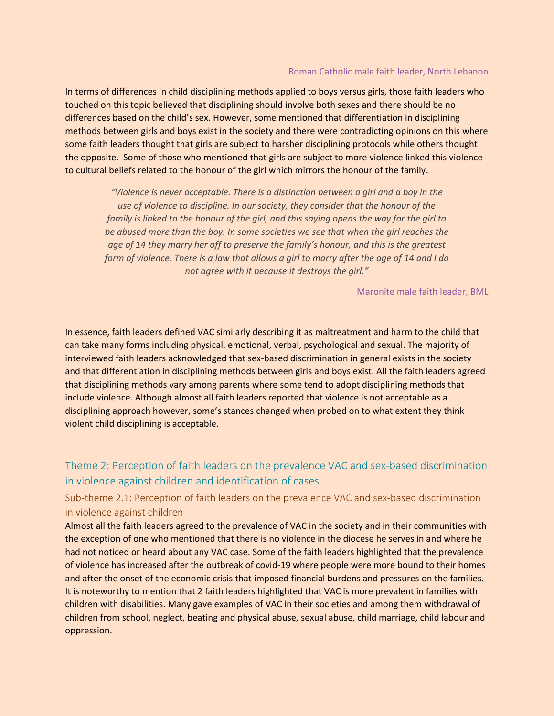#### Roman Catholic male faith leader, North Lebanon

In terms of differences in child disciplining methods applied to boys versus girls, those faith leaders who touched on this topic believed that disciplining should involve both sexes and there should be no differences based on the child's sex. However, some mentioned that differentiation in disciplining methods between girls and boys exist in the society and there were contradicting opinions on this where some faith leaders thought that girls are subject to harsher disciplining protocols while others thought the opposite. Some of those who mentioned that girls are subject to more violence linked this violence to cultural beliefs related to the honour of the girl which mirrors the honour of the family.

*"Violence is never acceptable. There is a distinction between a girl and a boy in the use of violence to discipline. In our society, they consider that the honour of the family is linked to the honour of the girl, and this saying opens the way for the girl to be abused more than the boy. In some societies we see that when the girl reaches the age of 14 they marry her off to preserve the family's honour, and this is the greatest form of violence. There is a law that allows a girl to marry after the age of 14 and I do not agree with it because it destroys the girl."*

#### Maronite male faith leader, BML

In essence, faith leaders defined VAC similarly describing it as maltreatment and harm to the child that can take many forms including physical, emotional, verbal, psychological and sexual. The majority of interviewed faith leaders acknowledged that sex-based discrimination in general exists in the society and that differentiation in disciplining methods between girls and boys exist. All the faith leaders agreed that disciplining methods vary among parents where some tend to adopt disciplining methods that include violence. Although almost all faith leaders reported that violence is not acceptable as a disciplining approach however, some's stances changed when probed on to what extent they think violent child disciplining is acceptable.

### <span id="page-15-0"></span>Theme 2: Perception of faith leaders on the prevalence VAC and sex-based discrimination in violence against children and identification of cases

### <span id="page-15-1"></span>Sub-theme 2.1: Perception of faith leaders on the prevalence VAC and sex-based discrimination in violence against children

Almost all the faith leaders agreed to the prevalence of VAC in the society and in their communities with the exception of one who mentioned that there is no violence in the diocese he serves in and where he had not noticed or heard about any VAC case. Some of the faith leaders highlighted that the prevalence of violence has increased after the outbreak of covid-19 where people were more bound to their homes and after the onset of the economic crisis that imposed financial burdens and pressures on the families. It is noteworthy to mention that 2 faith leaders highlighted that VAC is more prevalent in families with children with disabilities. Many gave examples of VAC in their societies and among them withdrawal of children from school, neglect, beating and physical abuse, sexual abuse, child marriage, child labour and oppression.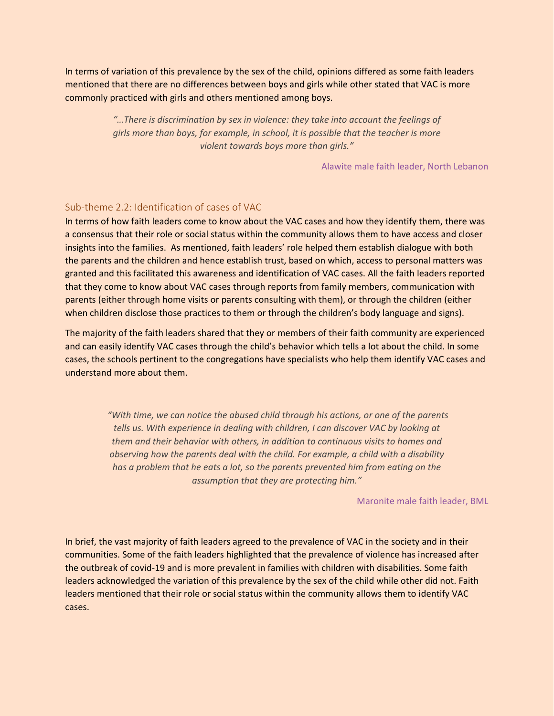In terms of variation of this prevalence by the sex of the child, opinions differed as some faith leaders mentioned that there are no differences between boys and girls while other stated that VAC is more commonly practiced with girls and others mentioned among boys.

> *"…There is discrimination by sex in violence: they take into account the feelings of girls more than boys, for example, in school, it is possible that the teacher is more violent towards boys more than girls."*

> > Alawite male faith leader, North Lebanon

#### <span id="page-16-0"></span>Sub-theme 2.2: Identification of cases of VAC

In terms of how faith leaders come to know about the VAC cases and how they identify them, there was a consensus that their role or social status within the community allows them to have access and closer insights into the families. As mentioned, faith leaders' role helped them establish dialogue with both the parents and the children and hence establish trust, based on which, access to personal matters was granted and this facilitated this awareness and identification of VAC cases. All the faith leaders reported that they come to know about VAC cases through reports from family members, communication with parents (either through home visits or parents consulting with them), or through the children (either when children disclose those practices to them or through the children's body language and signs).

The majority of the faith leaders shared that they or members of their faith community are experienced and can easily identify VAC cases through the child's behavior which tells a lot about the child. In some cases, the schools pertinent to the congregations have specialists who help them identify VAC cases and understand more about them.

> *"With time, we can notice the abused child through his actions, or one of the parents tells us. With experience in dealing with children, I can discover VAC by looking at them and their behavior with others, in addition to continuous visits to homes and observing how the parents deal with the child. For example, a child with a disability has a problem that he eats a lot, so the parents prevented him from eating on the assumption that they are protecting him."*

#### Maronite male faith leader, BML

In brief, the vast majority of faith leaders agreed to the prevalence of VAC in the society and in their communities. Some of the faith leaders highlighted that the prevalence of violence has increased after the outbreak of covid-19 and is more prevalent in families with children with disabilities. Some faith leaders acknowledged the variation of this prevalence by the sex of the child while other did not. Faith leaders mentioned that their role or social status within the community allows them to identify VAC cases.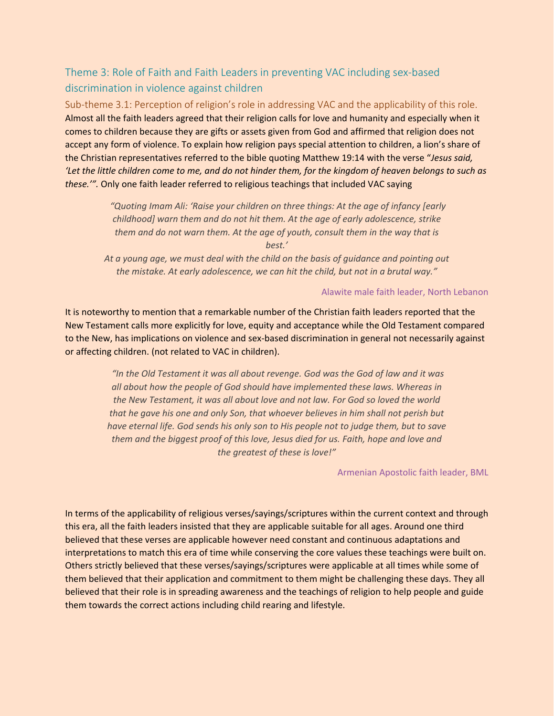## <span id="page-17-0"></span>Theme 3: Role of Faith and Faith Leaders in preventing VAC including sex-based discrimination in violence against children

<span id="page-17-1"></span>Sub-theme 3.1: Perception of religion's role in addressing VAC and the applicability of this role. Almost all the faith leaders agreed that their religion calls for love and humanity and especially when it comes to children because they are gifts or assets given from God and affirmed that religion does not accept any form of violence. To explain how religion pays special attention to children, a lion's share of the Christian representatives referred to the bible quoting Matthew 19:14 with the verse "*Jesus said, 'Let the little children come to me, and do not hinder them, for the kingdom of heaven belongs to such as these.'".* Only one faith leader referred to religious teachings that included VAC saying

> *"Quoting Imam Ali: 'Raise your children on three things: At the age of infancy [early childhood] warn them and do not hit them. At the age of early adolescence, strike them and do not warn them. At the age of youth, consult them in the way that is*

*best.'*

*At a young age, we must deal with the child on the basis of guidance and pointing out the mistake. At early adolescence, we can hit the child, but not in a brutal way."*

#### Alawite male faith leader, North Lebanon

It is noteworthy to mention that a remarkable number of the Christian faith leaders reported that the New Testament calls more explicitly for love, equity and acceptance while the Old Testament compared to the New, has implications on violence and sex-based discrimination in general not necessarily against or affecting children. (not related to VAC in children).

> *"In the Old Testament it was all about revenge. God was the God of law and it was all about how the people of God should have implemented these laws. Whereas in the New Testament, it was all about love and not law. For God so loved the world that he gave his one and only Son, that whoever believes in him shall not perish but have eternal life. God sends his only son to His people not to judge them, but to save them and the biggest proof of this love, Jesus died for us. Faith, hope and love and the greatest of these is love!"*

#### Armenian Apostolic faith leader, BML

In terms of the applicability of religious verses/sayings/scriptures within the current context and through this era, all the faith leaders insisted that they are applicable suitable for all ages. Around one third believed that these verses are applicable however need constant and continuous adaptations and interpretations to match this era of time while conserving the core values these teachings were built on. Others strictly believed that these verses/sayings/scriptures were applicable at all times while some of them believed that their application and commitment to them might be challenging these days. They all believed that their role is in spreading awareness and the teachings of religion to help people and guide them towards the correct actions including child rearing and lifestyle.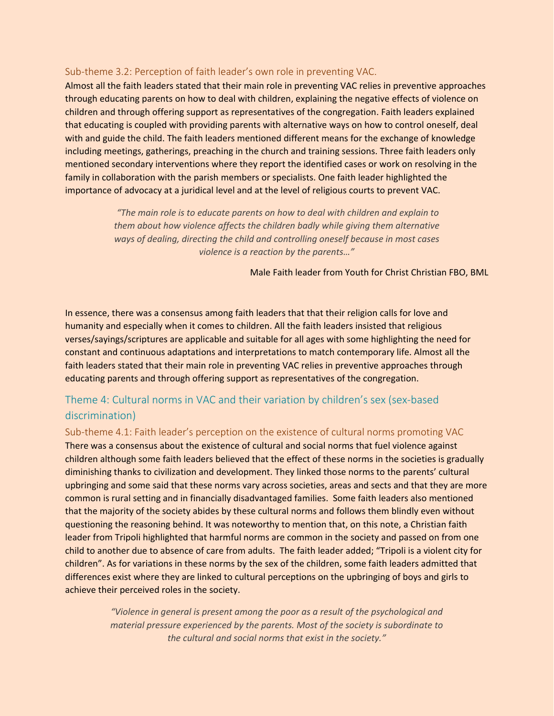#### <span id="page-18-0"></span>Sub-theme 3.2: Perception of faith leader's own role in preventing VAC.

Almost all the faith leaders stated that their main role in preventing VAC relies in preventive approaches through educating parents on how to deal with children, explaining the negative effects of violence on children and through offering support as representatives of the congregation. Faith leaders explained that educating is coupled with providing parents with alternative ways on how to control oneself, deal with and guide the child. The faith leaders mentioned different means for the exchange of knowledge including meetings, gatherings, preaching in the church and training sessions. Three faith leaders only mentioned secondary interventions where they report the identified cases or work on resolving in the family in collaboration with the parish members or specialists. One faith leader highlighted the importance of advocacy at a juridical level and at the level of religious courts to prevent VAC.

> *"The main role is to educate parents on how to deal with children and explain to them about how violence affects the children badly while giving them alternative ways of dealing, directing the child and controlling oneself because in most cases violence is a reaction by the parents…"*

> > Male Faith leader from Youth for Christ Christian FBO, BML

In essence, there was a consensus among faith leaders that that their religion calls for love and humanity and especially when it comes to children. All the faith leaders insisted that religious verses/sayings/scriptures are applicable and suitable for all ages with some highlighting the need for constant and continuous adaptations and interpretations to match contemporary life. Almost all the faith leaders stated that their main role in preventing VAC relies in preventive approaches through educating parents and through offering support as representatives of the congregation.

### <span id="page-18-1"></span>Theme 4: Cultural norms in VAC and their variation by children's sex (sex-based discrimination)

<span id="page-18-2"></span>Sub-theme 4.1: Faith leader's perception on the existence of cultural norms promoting VAC There was a consensus about the existence of cultural and social norms that fuel violence against children although some faith leaders believed that the effect of these norms in the societies is gradually diminishing thanks to civilization and development. They linked those norms to the parents' cultural upbringing and some said that these norms vary across societies, areas and sects and that they are more common is rural setting and in financially disadvantaged families. Some faith leaders also mentioned that the majority of the society abides by these cultural norms and follows them blindly even without questioning the reasoning behind. It was noteworthy to mention that, on this note, a Christian faith leader from Tripoli highlighted that harmful norms are common in the society and passed on from one child to another due to absence of care from adults. The faith leader added; "Tripoli is a violent city for children". As for variations in these norms by the sex of the children, some faith leaders admitted that differences exist where they are linked to cultural perceptions on the upbringing of boys and girls to achieve their perceived roles in the society.

> *"Violence in general is present among the poor as a result of the psychological and material pressure experienced by the parents. Most of the society is subordinate to the cultural and social norms that exist in the society."*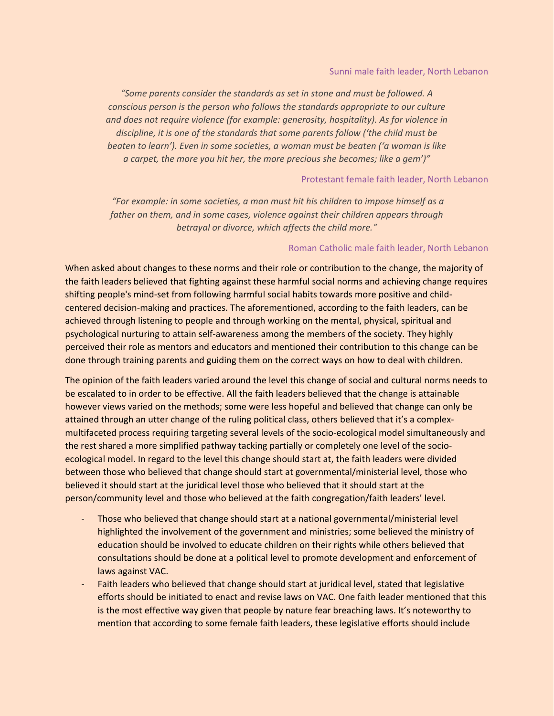*"Some parents consider the standards as set in stone and must be followed. A conscious person is the person who follows the standards appropriate to our culture and does not require violence (for example: generosity, hospitality). As for violence in discipline, it is one of the standards that some parents follow ('the child must be beaten to learn'). Even in some societies, a woman must be beaten ('a woman is like a carpet, the more you hit her, the more precious she becomes; like a gem')"*

#### Protestant female faith leader, North Lebanon

*"For example: in some societies, a man must hit his children to impose himself as a father on them, and in some cases, violence against their children appears through betrayal or divorce, which affects the child more."*

#### Roman Catholic male faith leader, North Lebanon

When asked about changes to these norms and their role or contribution to the change, the majority of the faith leaders believed that fighting against these harmful social norms and achieving change requires shifting people's mind-set from following harmful social habits towards more positive and childcentered decision-making and practices. The aforementioned, according to the faith leaders, can be achieved through listening to people and through working on the mental, physical, spiritual and psychological nurturing to attain self-awareness among the members of the society. They highly perceived their role as mentors and educators and mentioned their contribution to this change can be done through training parents and guiding them on the correct ways on how to deal with children.

The opinion of the faith leaders varied around the level this change of social and cultural norms needs to be escalated to in order to be effective. All the faith leaders believed that the change is attainable however views varied on the methods; some were less hopeful and believed that change can only be attained through an utter change of the ruling political class, others believed that it's a complexmultifaceted process requiring targeting several levels of the socio-ecological model simultaneously and the rest shared a more simplified pathway tacking partially or completely one level of the socioecological model. In regard to the level this change should start at, the faith leaders were divided between those who believed that change should start at governmental/ministerial level, those who believed it should start at the juridical level those who believed that it should start at the person/community level and those who believed at the faith congregation/faith leaders' level.

- Those who believed that change should start at a national governmental/ministerial level highlighted the involvement of the government and ministries; some believed the ministry of education should be involved to educate children on their rights while others believed that consultations should be done at a political level to promote development and enforcement of laws against VAC.
- Faith leaders who believed that change should start at juridical level, stated that legislative efforts should be initiated to enact and revise laws on VAC. One faith leader mentioned that this is the most effective way given that people by nature fear breaching laws. It's noteworthy to mention that according to some female faith leaders, these legislative efforts should include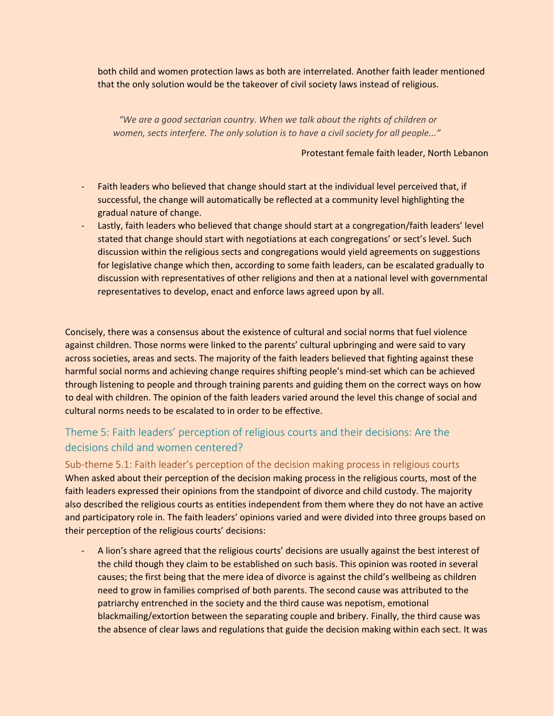both child and women protection laws as both are interrelated. Another faith leader mentioned that the only solution would be the takeover of civil society laws instead of religious.

*"We are a good sectarian country. When we talk about the rights of children or women, sects interfere. The only solution is to have a civil society for all people..."*

Protestant female faith leader, North Lebanon

- Faith leaders who believed that change should start at the individual level perceived that, if successful, the change will automatically be reflected at a community level highlighting the gradual nature of change.
- Lastly, faith leaders who believed that change should start at a congregation/faith leaders' level stated that change should start with negotiations at each congregations' or sect's level. Such discussion within the religious sects and congregations would yield agreements on suggestions for legislative change which then, according to some faith leaders, can be escalated gradually to discussion with representatives of other religions and then at a national level with governmental representatives to develop, enact and enforce laws agreed upon by all.

Concisely, there was a consensus about the existence of cultural and social norms that fuel violence against children. Those norms were linked to the parents' cultural upbringing and were said to vary across societies, areas and sects. The majority of the faith leaders believed that fighting against these harmful social norms and achieving change requires shifting people's mind-set which can be achieved through listening to people and through training parents and guiding them on the correct ways on how to deal with children. The opinion of the faith leaders varied around the level this change of social and cultural norms needs to be escalated to in order to be effective.

### <span id="page-20-0"></span>Theme 5: Faith leaders' perception of religious courts and their decisions: Are the decisions child and women centered?

<span id="page-20-1"></span>Sub-theme 5.1: Faith leader's perception of the decision making process in religious courts When asked about their perception of the decision making process in the religious courts, most of the faith leaders expressed their opinions from the standpoint of divorce and child custody. The majority also described the religious courts as entities independent from them where they do not have an active and participatory role in. The faith leaders' opinions varied and were divided into three groups based on their perception of the religious courts' decisions:

A lion's share agreed that the religious courts' decisions are usually against the best interest of the child though they claim to be established on such basis. This opinion was rooted in several causes; the first being that the mere idea of divorce is against the child's wellbeing as children need to grow in families comprised of both parents. The second cause was attributed to the patriarchy entrenched in the society and the third cause was nepotism, emotional blackmailing/extortion between the separating couple and bribery. Finally, the third cause was the absence of clear laws and regulations that guide the decision making within each sect. It was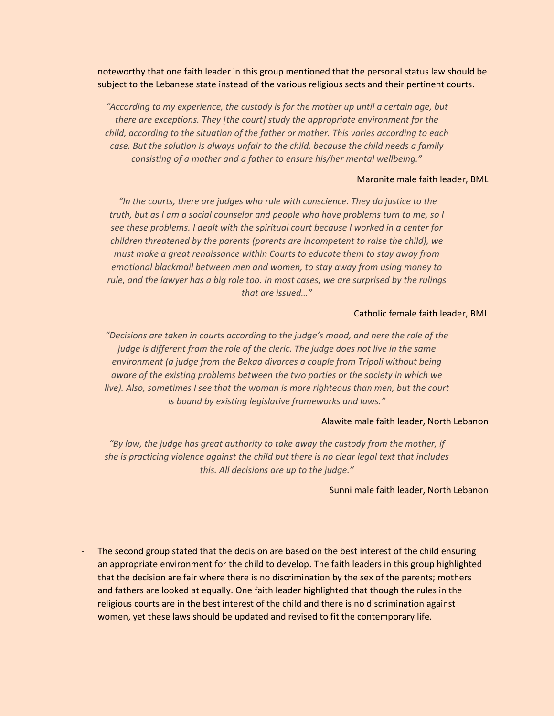noteworthy that one faith leader in this group mentioned that the personal status law should be subject to the Lebanese state instead of the various religious sects and their pertinent courts.

*"According to my experience, the custody is for the mother up until a certain age, but there are exceptions. They [the court] study the appropriate environment for the child, according to the situation of the father or mother. This varies according to each case. But the solution is always unfair to the child, because the child needs a family consisting of a mother and a father to ensure his/her mental wellbeing."*

#### Maronite male faith leader, BML

*"In the courts, there are judges who rule with conscience. They do justice to the truth, but as I am a social counselor and people who have problems turn to me, so I see these problems. I dealt with the spiritual court because I worked in a center for children threatened by the parents (parents are incompetent to raise the child), we must make a great renaissance within Courts to educate them to stay away from emotional blackmail between men and women, to stay away from using money to rule, and the lawyer has a big role too. In most cases, we are surprised by the rulings that are issued…"*

#### Catholic female faith leader, BML

*"Decisions are taken in courts according to the judge's mood, and here the role of the judge is different from the role of the cleric. The judge does not live in the same environment (a judge from the Bekaa divorces a couple from Tripoli without being aware of the existing problems between the two parties or the society in which we live). Also, sometimes I see that the woman is more righteous than men, but the court is bound by existing legislative frameworks and laws."*

#### Alawite male faith leader, North Lebanon

*"By law, the judge has great authority to take away the custody from the mother, if she is practicing violence against the child but there is no clear legal text that includes this. All decisions are up to the judge."*

#### Sunni male faith leader, North Lebanon

- The second group stated that the decision are based on the best interest of the child ensuring an appropriate environment for the child to develop. The faith leaders in this group highlighted that the decision are fair where there is no discrimination by the sex of the parents; mothers and fathers are looked at equally. One faith leader highlighted that though the rules in the religious courts are in the best interest of the child and there is no discrimination against women, yet these laws should be updated and revised to fit the contemporary life.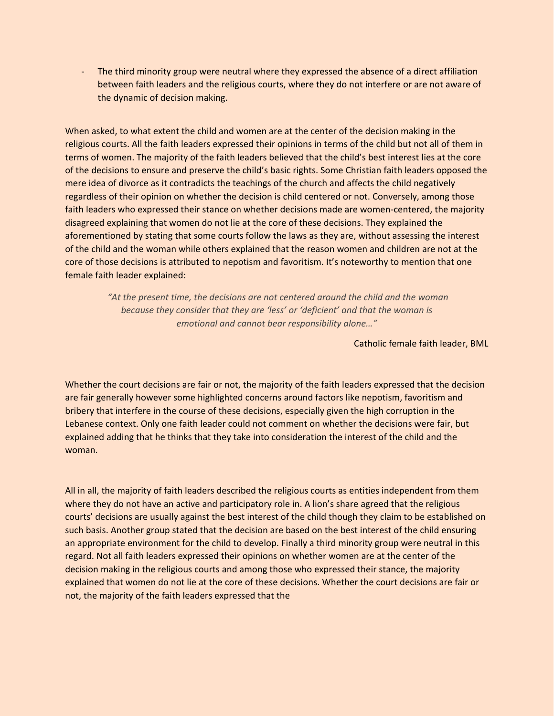The third minority group were neutral where they expressed the absence of a direct affiliation between faith leaders and the religious courts, where they do not interfere or are not aware of the dynamic of decision making.

When asked, to what extent the child and women are at the center of the decision making in the religious courts. All the faith leaders expressed their opinions in terms of the child but not all of them in terms of women. The majority of the faith leaders believed that the child's best interest lies at the core of the decisions to ensure and preserve the child's basic rights. Some Christian faith leaders opposed the mere idea of divorce as it contradicts the teachings of the church and affects the child negatively regardless of their opinion on whether the decision is child centered or not. Conversely, among those faith leaders who expressed their stance on whether decisions made are women-centered, the majority disagreed explaining that women do not lie at the core of these decisions. They explained the aforementioned by stating that some courts follow the laws as they are, without assessing the interest of the child and the woman while others explained that the reason women and children are not at the core of those decisions is attributed to nepotism and favoritism. It's noteworthy to mention that one female faith leader explained:

> *"At the present time, the decisions are not centered around the child and the woman because they consider that they are 'less' or 'deficient' and that the woman is emotional and cannot bear responsibility alone…"*

> > Catholic female faith leader, BML

Whether the court decisions are fair or not, the majority of the faith leaders expressed that the decision are fair generally however some highlighted concerns around factors like nepotism, favoritism and bribery that interfere in the course of these decisions, especially given the high corruption in the Lebanese context. Only one faith leader could not comment on whether the decisions were fair, but explained adding that he thinks that they take into consideration the interest of the child and the woman.

All in all, the majority of faith leaders described the religious courts as entities independent from them where they do not have an active and participatory role in. A lion's share agreed that the religious courts' decisions are usually against the best interest of the child though they claim to be established on such basis. Another group stated that the decision are based on the best interest of the child ensuring an appropriate environment for the child to develop. Finally a third minority group were neutral in this regard. Not all faith leaders expressed their opinions on whether women are at the center of the decision making in the religious courts and among those who expressed their stance, the majority explained that women do not lie at the core of these decisions. Whether the court decisions are fair or not, the majority of the faith leaders expressed that the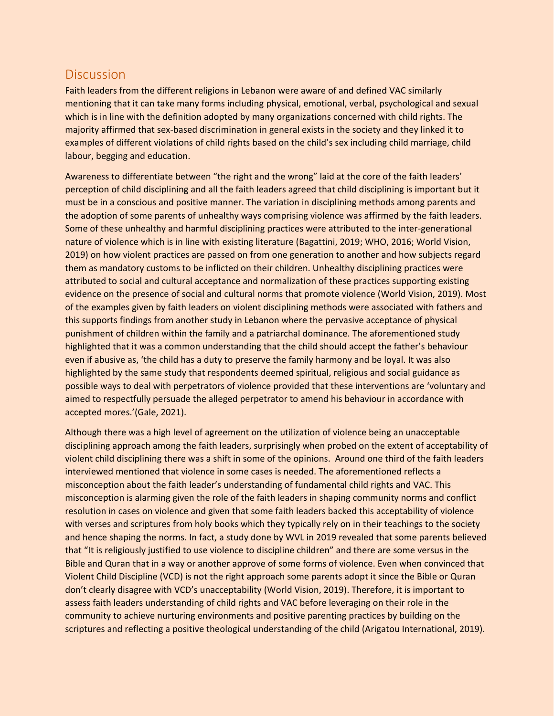# <span id="page-23-0"></span>**Discussion**

Faith leaders from the different religions in Lebanon were aware of and defined VAC similarly mentioning that it can take many forms including physical, emotional, verbal, psychological and sexual which is in line with the definition adopted by many organizations concerned with child rights. The majority affirmed that sex-based discrimination in general exists in the society and they linked it to examples of different violations of child rights based on the child's sex including child marriage, child labour, begging and education.

Awareness to differentiate between "the right and the wrong" laid at the core of the faith leaders' perception of child disciplining and all the faith leaders agreed that child disciplining is important but it must be in a conscious and positive manner. The variation in disciplining methods among parents and the adoption of some parents of unhealthy ways comprising violence was affirmed by the faith leaders. Some of these unhealthy and harmful disciplining practices were attributed to the inter-generational nature of violence which is in line with existing literature (Bagattini, 2019; WHO, 2016; World Vision, 2019) on how violent practices are passed on from one generation to another and how subjects regard them as mandatory customs to be inflicted on their children. Unhealthy disciplining practices were attributed to social and cultural acceptance and normalization of these practices supporting existing evidence on the presence of social and cultural norms that promote violence (World Vision, 2019). Most of the examples given by faith leaders on violent disciplining methods were associated with fathers and this supports findings from another study in Lebanon where the pervasive acceptance of physical punishment of children within the family and a patriarchal dominance. The aforementioned study highlighted that it was a common understanding that the child should accept the father's behaviour even if abusive as, 'the child has a duty to preserve the family harmony and be loyal. It was also highlighted by the same study that respondents deemed spiritual, religious and social guidance as possible ways to deal with perpetrators of violence provided that these interventions are 'voluntary and aimed to respectfully persuade the alleged perpetrator to amend his behaviour in accordance with accepted mores.'(Gale, 2021).

Although there was a high level of agreement on the utilization of violence being an unacceptable disciplining approach among the faith leaders, surprisingly when probed on the extent of acceptability of violent child disciplining there was a shift in some of the opinions. Around one third of the faith leaders interviewed mentioned that violence in some cases is needed. The aforementioned reflects a misconception about the faith leader's understanding of fundamental child rights and VAC. This misconception is alarming given the role of the faith leaders in shaping community norms and conflict resolution in cases on violence and given that some faith leaders backed this acceptability of violence with verses and scriptures from holy books which they typically rely on in their teachings to the society and hence shaping the norms. In fact, a study done by WVL in 2019 revealed that some parents believed that "It is religiously justified to use violence to discipline children" and there are some versus in the Bible and Quran that in a way or another approve of some forms of violence. Even when convinced that Violent Child Discipline (VCD) is not the right approach some parents adopt it since the Bible or Quran don't clearly disagree with VCD's unacceptability (World Vision, 2019). Therefore, it is important to assess faith leaders understanding of child rights and VAC before leveraging on their role in the community to achieve nurturing environments and positive parenting practices by building on the scriptures and reflecting a positive theological understanding of the child (Arigatou International, 2019).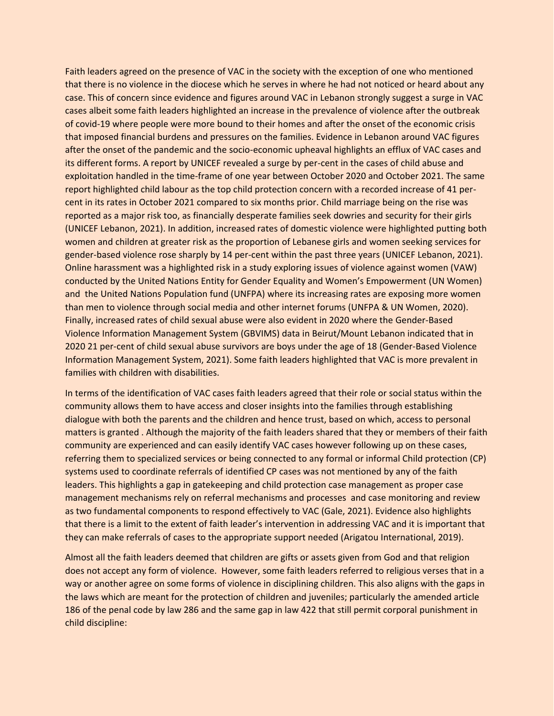Faith leaders agreed on the presence of VAC in the society with the exception of one who mentioned that there is no violence in the diocese which he serves in where he had not noticed or heard about any case. This of concern since evidence and figures around VAC in Lebanon strongly suggest a surge in VAC cases albeit some faith leaders highlighted an increase in the prevalence of violence after the outbreak of covid-19 where people were more bound to their homes and after the onset of the economic crisis that imposed financial burdens and pressures on the families. Evidence in Lebanon around VAC figures after the onset of the pandemic and the socio-economic upheaval highlights an efflux of VAC cases and its different forms. A report by UNICEF revealed a surge by per-cent in the cases of child abuse and exploitation handled in the time-frame of one year between October 2020 and October 2021. The same report highlighted child labour as the top child protection concern with a recorded increase of 41 percent in its rates in October 2021 compared to six months prior. Child marriage being on the rise was reported as a major risk too, as financially desperate families seek dowries and security for their girls (UNICEF Lebanon, 2021). In addition, increased rates of domestic violence were highlighted putting both women and children at greater risk as the proportion of Lebanese girls and women seeking services for gender-based violence rose sharply by 14 per-cent within the past three years (UNICEF Lebanon, 2021). Online harassment was a highlighted risk in a study exploring issues of violence against women (VAW) conducted by the United Nations Entity for Gender Equality and Women's Empowerment (UN Women) and the United Nations Population fund (UNFPA) where its increasing rates are exposing more women than men to violence through social media and other internet forums (UNFPA & UN Women, 2020). Finally, increased rates of child sexual abuse were also evident in 2020 where the Gender-Based Violence Information Management System (GBVIMS) data in Beirut/Mount Lebanon indicated that in 2020 21 per-cent of child sexual abuse survivors are boys under the age of 18 (Gender-Based Violence Information Management System, 2021). Some faith leaders highlighted that VAC is more prevalent in families with children with disabilities.

In terms of the identification of VAC cases faith leaders agreed that their role or social status within the community allows them to have access and closer insights into the families through establishing dialogue with both the parents and the children and hence trust, based on which, access to personal matters is granted . Although the majority of the faith leaders shared that they or members of their faith community are experienced and can easily identify VAC cases however following up on these cases, referring them to specialized services or being connected to any formal or informal Child protection (CP) systems used to coordinate referrals of identified CP cases was not mentioned by any of the faith leaders. This highlights a gap in gatekeeping and child protection case management as proper case management mechanisms rely on referral mechanisms and processes and case monitoring and review as two fundamental components to respond effectively to VAC (Gale, 2021). Evidence also highlights that there is a limit to the extent of faith leader's intervention in addressing VAC and it is important that they can make referrals of cases to the appropriate support needed (Arigatou International, 2019).

Almost all the faith leaders deemed that children are gifts or assets given from God and that religion does not accept any form of violence. However, some faith leaders referred to religious verses that in a way or another agree on some forms of violence in disciplining children. This also aligns with the gaps in the laws which are meant for the protection of children and juveniles; particularly the amended article 186 of the penal code by law 286 and the same gap in law 422 that still permit corporal punishment in child discipline: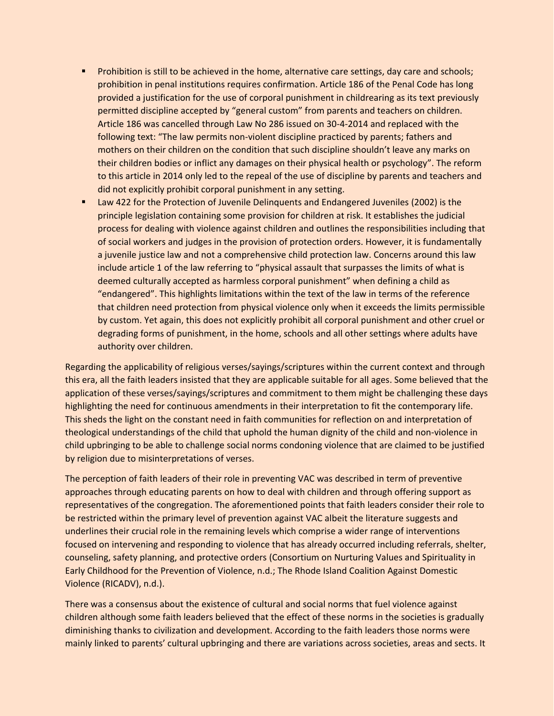- **•** Prohibition is still to be achieved in the home, alternative care settings, day care and schools; prohibition in penal institutions requires confirmation. Article 186 of the Penal Code has long provided a justification for the use of corporal punishment in childrearing as its text previously permitted discipline accepted by "general custom" from parents and teachers on children. Article 186 was cancelled through Law No 286 issued on 30-4-2014 and replaced with the following text: "The law permits non-violent discipline practiced by parents; fathers and mothers on their children on the condition that such discipline shouldn't leave any marks on their children bodies or inflict any damages on their physical health or psychology". The reform to this article in 2014 only led to the repeal of the use of discipline by parents and teachers and did not explicitly prohibit corporal punishment in any setting.
- Law 422 for the Protection of Juvenile Delinquents and Endangered Juveniles (2002) is the principle legislation containing some provision for children at risk. It establishes the judicial process for dealing with violence against children and outlines the responsibilities including that of social workers and judges in the provision of protection orders. However, it is fundamentally a juvenile justice law and not a comprehensive child protection law. Concerns around this law include article 1 of the law referring to "physical assault that surpasses the limits of what is deemed culturally accepted as harmless corporal punishment" when defining a child as "endangered". This highlights limitations within the text of the law in terms of the reference that children need protection from physical violence only when it exceeds the limits permissible by custom. Yet again, this does not explicitly prohibit all corporal punishment and other cruel or degrading forms of punishment, in the home, schools and all other settings where adults have authority over children.

Regarding the applicability of religious verses/sayings/scriptures within the current context and through this era, all the faith leaders insisted that they are applicable suitable for all ages. Some believed that the application of these verses/sayings/scriptures and commitment to them might be challenging these days highlighting the need for continuous amendments in their interpretation to fit the contemporary life. This sheds the light on the constant need in faith communities for reflection on and interpretation of theological understandings of the child that uphold the human dignity of the child and non-violence in child upbringing to be able to challenge social norms condoning violence that are claimed to be justified by religion due to misinterpretations of verses.

The perception of faith leaders of their role in preventing VAC was described in term of preventive approaches through educating parents on how to deal with children and through offering support as representatives of the congregation. The aforementioned points that faith leaders consider their role to be restricted within the primary level of prevention against VAC albeit the literature suggests and underlines their crucial role in the remaining levels which comprise a wider range of interventions focused on intervening and responding to violence that has already occurred including referrals, shelter, counseling, safety planning, and protective orders (Consortium on Nurturing Values and Spirituality in Early Childhood for the Prevention of Violence, n.d.; The Rhode Island Coalition Against Domestic Violence (RICADV), n.d.).

There was a consensus about the existence of cultural and social norms that fuel violence against children although some faith leaders believed that the effect of these norms in the societies is gradually diminishing thanks to civilization and development. According to the faith leaders those norms were mainly linked to parents' cultural upbringing and there are variations across societies, areas and sects. It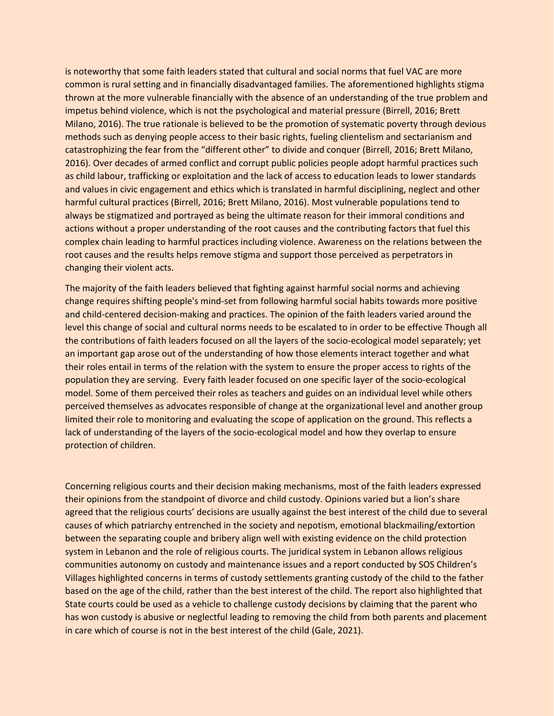is noteworthy that some faith leaders stated that cultural and social norms that fuel VAC are more common is rural setting and in financially disadvantaged families. The aforementioned highlights stigma thrown at the more vulnerable financially with the absence of an understanding of the true problem and impetus behind violence, which is not the psychological and material pressure (Birrell, 2016; Brett Milano, 2016). The true rationale is believed to be the promotion of systematic poverty through devious methods such as denying people access to their basic rights, fueling clientelism and sectarianism and catastrophizing the fear from the "different other" to divide and conquer (Birrell, 2016; Brett Milano, 2016). Over decades of armed conflict and corrupt public policies people adopt harmful practices such as child labour, trafficking or exploitation and the lack of access to education leads to lower standards and values in civic engagement and ethics which is translated in harmful disciplining, neglect and other harmful cultural practices (Birrell, 2016; Brett Milano, 2016). Most vulnerable populations tend to always be stigmatized and portrayed as being the ultimate reason for their immoral conditions and actions without a proper understanding of the root causes and the contributing factors that fuel this complex chain leading to harmful practices including violence. Awareness on the relations between the root causes and the results helps remove stigma and support those perceived as perpetrators in changing their violent acts.

The majority of the faith leaders believed that fighting against harmful social norms and achieving change requires shifting people's mind-set from following harmful social habits towards more positive and child-centered decision-making and practices. The opinion of the faith leaders varied around the level this change of social and cultural norms needs to be escalated to in order to be effective Though all the contributions of faith leaders focused on all the layers of the socio-ecological model separately; yet an important gap arose out of the understanding of how those elements interact together and what their roles entail in terms of the relation with the system to ensure the proper access to rights of the population they are serving. Every faith leader focused on one specific layer of the socio-ecological model. Some of them perceived their roles as teachers and guides on an individual level while others perceived themselves as advocates responsible of change at the organizational level and another group limited their role to monitoring and evaluating the scope of application on the ground. This reflects a lack of understanding of the layers of the socio-ecological model and how they overlap to ensure protection of children.

Concerning religious courts and their decision making mechanisms, most of the faith leaders expressed their opinions from the standpoint of divorce and child custody. Opinions varied but a lion's share agreed that the religious courts' decisions are usually against the best interest of the child due to several causes of which patriarchy entrenched in the society and nepotism, emotional blackmailing/extortion between the separating couple and bribery align well with existing evidence on the child protection system in Lebanon and the role of religious courts. The juridical system in Lebanon allows religious communities autonomy on custody and maintenance issues and a report conducted by SOS Children's Villages highlighted concerns in terms of custody settlements granting custody of the child to the father based on the age of the child, rather than the best interest of the child. The report also highlighted that State courts could be used as a vehicle to challenge custody decisions by claiming that the parent who has won custody is abusive or neglectful leading to removing the child from both parents and placement in care which of course is not in the best interest of the child (Gale, 2021).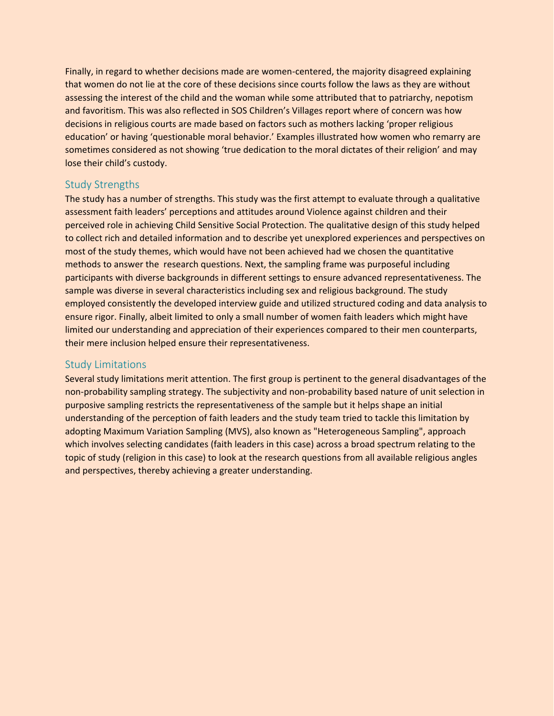Finally, in regard to whether decisions made are women-centered, the majority disagreed explaining that women do not lie at the core of these decisions since courts follow the laws as they are without assessing the interest of the child and the woman while some attributed that to patriarchy, nepotism and favoritism. This was also reflected in SOS Children's Villages report where of concern was how decisions in religious courts are made based on factors such as mothers lacking 'proper religious education' or having 'questionable moral behavior.' Examples illustrated how women who remarry are sometimes considered as not showing 'true dedication to the moral dictates of their religion' and may lose their child's custody.

### <span id="page-27-0"></span>Study Strengths

The study has a number of strengths. This study was the first attempt to evaluate through a qualitative assessment faith leaders' perceptions and attitudes around Violence against children and their perceived role in achieving Child Sensitive Social Protection. The qualitative design of this study helped to collect rich and detailed information and to describe yet unexplored experiences and perspectives on most of the study themes, which would have not been achieved had we chosen the quantitative methods to answer the research questions. Next, the sampling frame was purposeful including participants with diverse backgrounds in different settings to ensure advanced representativeness. The sample was diverse in several characteristics including sex and religious background. The study employed consistently the developed interview guide and utilized structured coding and data analysis to ensure rigor. Finally, albeit limited to only a small number of women faith leaders which might have limited our understanding and appreciation of their experiences compared to their men counterparts, their mere inclusion helped ensure their representativeness.

#### <span id="page-27-1"></span>Study Limitations

Several study limitations merit attention. The first group is pertinent to the general disadvantages of the non-probability sampling strategy. The subjectivity and non-probability based nature of unit selection in purposive sampling restricts the representativeness of the sample but it helps shape an initial understanding of the perception of faith leaders and the study team tried to tackle this limitation by adopting Maximum Variation Sampling (MVS), also known as "Heterogeneous Sampling", approach which involves selecting candidates (faith leaders in this case) across a broad spectrum relating to the topic of study (religion in this case) to look at the research questions from all available religious angles and perspectives, thereby achieving a greater understanding.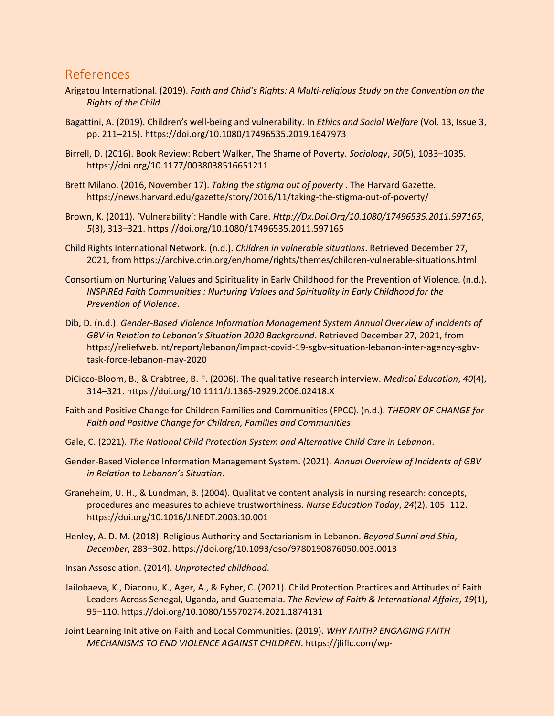## <span id="page-28-0"></span>References

- Arigatou International. (2019). *Faith and Child's Rights: A Multi-religious Study on the Convention on the Rights of the Child*.
- Bagattini, A. (2019). Children's well-being and vulnerability. In *Ethics and Social Welfare* (Vol. 13, Issue 3, pp. 211–215). https://doi.org/10.1080/17496535.2019.1647973
- Birrell, D. (2016). Book Review: Robert Walker, The Shame of Poverty. *Sociology*, *50*(5), 1033–1035. https://doi.org/10.1177/0038038516651211
- Brett Milano. (2016, November 17). *Taking the stigma out of poverty* . The Harvard Gazette. https://news.harvard.edu/gazette/story/2016/11/taking-the-stigma-out-of-poverty/
- Brown, K. (2011). 'Vulnerability': Handle with Care. *Http://Dx.Doi.Org/10.1080/17496535.2011.597165*, *5*(3), 313–321. https://doi.org/10.1080/17496535.2011.597165
- Child Rights International Network. (n.d.). *Children in vulnerable situations*. Retrieved December 27, 2021, from https://archive.crin.org/en/home/rights/themes/children-vulnerable-situations.html
- Consortium on Nurturing Values and Spirituality in Early Childhood for the Prevention of Violence. (n.d.). *INSPIREd Faith Communities : Nurturing Values and Spirituality in Early Childhood for the Prevention of Violence*.
- Dib, D. (n.d.). *Gender-Based Violence Information Management System Annual Overview of Incidents of GBV in Relation to Lebanon's Situation 2020 Background*. Retrieved December 27, 2021, from https://reliefweb.int/report/lebanon/impact-covid-19-sgbv-situation-lebanon-inter-agency-sgbvtask-force-lebanon-may-2020
- DiCicco-Bloom, B., & Crabtree, B. F. (2006). The qualitative research interview. *Medical Education*, *40*(4), 314–321. https://doi.org/10.1111/J.1365-2929.2006.02418.X
- Faith and Positive Change for Children Families and Communities (FPCC). (n.d.). *THEORY OF CHANGE for Faith and Positive Change for Children, Families and Communities*.
- Gale, C. (2021). *The National Child Protection System and Alternative Child Care in Lebanon*.
- Gender-Based Violence Information Management System. (2021). *Annual Overview of Incidents of GBV in Relation to Lebanon's Situation*.
- Graneheim, U. H., & Lundman, B. (2004). Qualitative content analysis in nursing research: concepts, procedures and measures to achieve trustworthiness. *Nurse Education Today*, *24*(2), 105–112. https://doi.org/10.1016/J.NEDT.2003.10.001
- Henley, A. D. M. (2018). Religious Authority and Sectarianism in Lebanon. *Beyond Sunni and Shia*, *December*, 283–302. https://doi.org/10.1093/oso/9780190876050.003.0013
- Insan Assosciation. (2014). *Unprotected childhood*.
- Jailobaeva, K., Diaconu, K., Ager, A., & Eyber, C. (2021). Child Protection Practices and Attitudes of Faith Leaders Across Senegal, Uganda, and Guatemala. *The Review of Faith & International Affairs*, *19*(1), 95–110. https://doi.org/10.1080/15570274.2021.1874131
- Joint Learning Initiative on Faith and Local Communities. (2019). *WHY FAITH? ENGAGING FAITH MECHANISMS TO END VIOLENCE AGAINST CHILDREN*. https://jliflc.com/wp-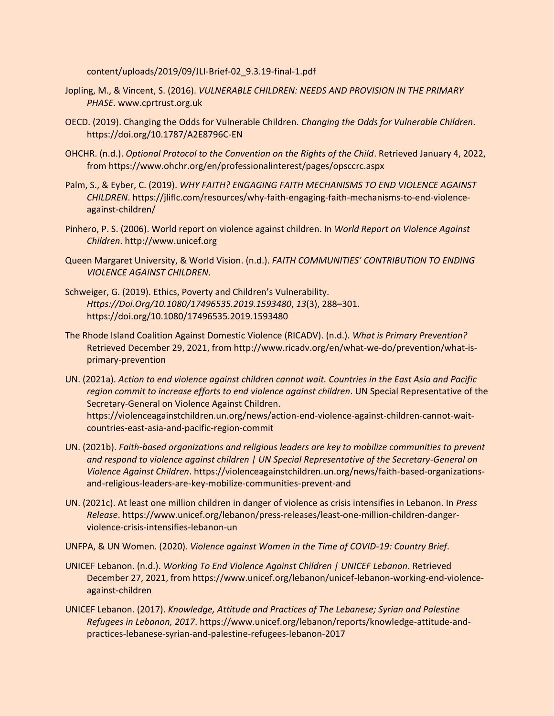content/uploads/2019/09/JLI-Brief-02\_9.3.19-final-1.pdf

- Jopling, M., & Vincent, S. (2016). *VULNERABLE CHILDREN: NEEDS AND PROVISION IN THE PRIMARY PHASE*. www.cprtrust.org.uk
- OECD. (2019). Changing the Odds for Vulnerable Children. *Changing the Odds for Vulnerable Children*. https://doi.org/10.1787/A2E8796C-EN
- OHCHR. (n.d.). *Optional Protocol to the Convention on the Rights of the Child*. Retrieved January 4, 2022, from https://www.ohchr.org/en/professionalinterest/pages/opsccrc.aspx
- Palm, S., & Eyber, C. (2019). *WHY FAITH? ENGAGING FAITH MECHANISMS TO END VIOLENCE AGAINST CHILDREN*. https://jliflc.com/resources/why-faith-engaging-faith-mechanisms-to-end-violenceagainst-children/
- Pinhero, P. S. (2006). World report on violence against children. In *World Report on Violence Against Children*. http://www.unicef.org
- Queen Margaret University, & World Vision. (n.d.). *FAITH COMMUNITIES' CONTRIBUTION TO ENDING VIOLENCE AGAINST CHILDREN*.
- Schweiger, G. (2019). Ethics, Poverty and Children's Vulnerability. *Https://Doi.Org/10.1080/17496535.2019.1593480*, *13*(3), 288–301. https://doi.org/10.1080/17496535.2019.1593480
- The Rhode Island Coalition Against Domestic Violence (RICADV). (n.d.). *What is Primary Prevention?* Retrieved December 29, 2021, from http://www.ricadv.org/en/what-we-do/prevention/what-isprimary-prevention
- UN. (2021a). *Action to end violence against children cannot wait. Countries in the East Asia and Pacific region commit to increase efforts to end violence against children*. UN Special Representative of the Secretary-General on Violence Against Children. https://violenceagainstchildren.un.org/news/action-end-violence-against-children-cannot-waitcountries-east-asia-and-pacific-region-commit
- UN. (2021b). *Faith-based organizations and religious leaders are key to mobilize communities to prevent and respond to violence against children | UN Special Representative of the Secretary-General on Violence Against Children*. https://violenceagainstchildren.un.org/news/faith-based-organizationsand-religious-leaders-are-key-mobilize-communities-prevent-and
- UN. (2021c). At least one million children in danger of violence as crisis intensifies in Lebanon. In *Press Release*. https://www.unicef.org/lebanon/press-releases/least-one-million-children-dangerviolence-crisis-intensifies-lebanon-un
- UNFPA, & UN Women. (2020). *Violence against Women in the Time of COVID-19: Country Brief*.
- UNICEF Lebanon. (n.d.). *Working To End Violence Against Children | UNICEF Lebanon*. Retrieved December 27, 2021, from https://www.unicef.org/lebanon/unicef-lebanon-working-end-violenceagainst-children
- UNICEF Lebanon. (2017). *Knowledge, Attitude and Practices of The Lebanese; Syrian and Palestine Refugees in Lebanon, 2017*. https://www.unicef.org/lebanon/reports/knowledge-attitude-andpractices-lebanese-syrian-and-palestine-refugees-lebanon-2017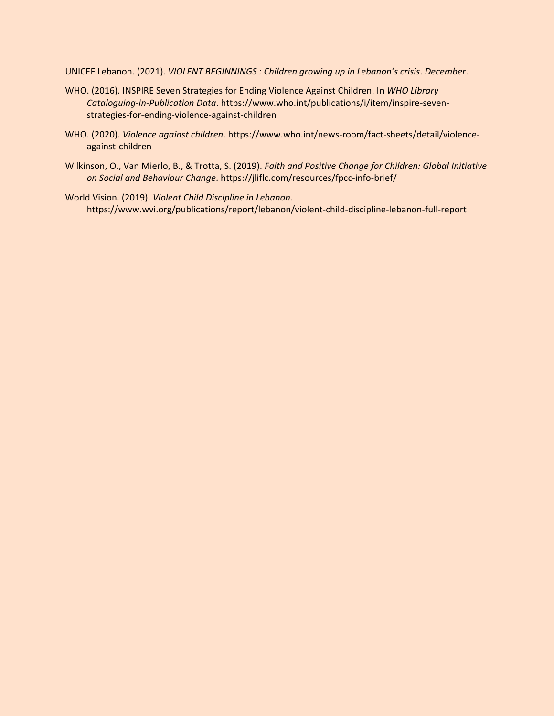UNICEF Lebanon. (2021). *VIOLENT BEGINNINGS : Children growing up in Lebanon's crisis*. *December*.

- WHO. (2016). INSPIRE Seven Strategies for Ending Violence Against Children. In *WHO Library Cataloguing-in-Publication Data*. https://www.who.int/publications/i/item/inspire-sevenstrategies-for-ending-violence-against-children
- WHO. (2020). *Violence against children*. https://www.who.int/news-room/fact-sheets/detail/violenceagainst-children
- Wilkinson, O., Van Mierlo, B., & Trotta, S. (2019). *Faith and Positive Change for Children: Global Initiative on Social and Behaviour Change*. https://jliflc.com/resources/fpcc-info-brief/
- World Vision. (2019). *Violent Child Discipline in Lebanon*. https://www.wvi.org/publications/report/lebanon/violent-child-discipline-lebanon-full-report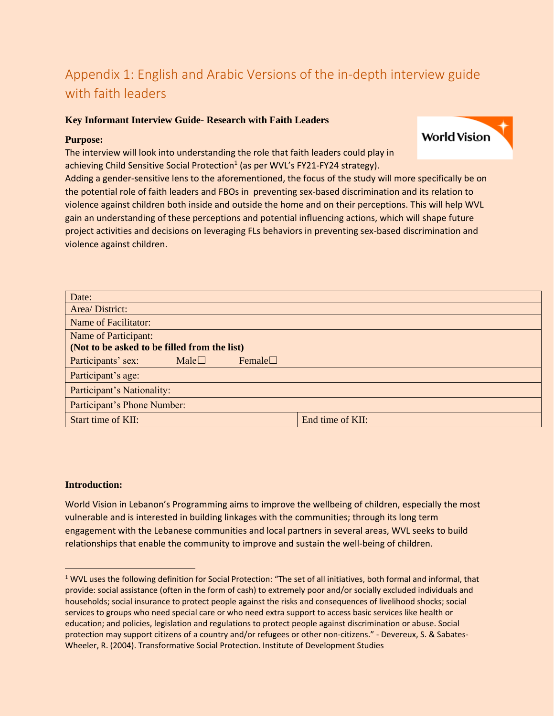# <span id="page-31-0"></span>Appendix 1: English and Arabic Versions of the in-depth interview guide with faith leaders

**World Vision** 

#### **Key Informant Interview Guide- Research with Faith Leaders**

#### **Purpose:**

The interview will look into understanding the role that faith leaders could play in achieving Child Sensitive Social Protection<sup>1</sup> (as per WVL's FY21-FY24 strategy).

Adding a gender-sensitive lens to the aforementioned, the focus of the study will more specifically be on the potential role of faith leaders and FBOs in preventing sex-based discrimination and its relation to violence against children both inside and outside the home and on their perceptions. This will help WVL gain an understanding of these perceptions and potential influencing actions, which will shape future project activities and decisions on leveraging FLs behaviors in preventing sex-based discrimination and violence against children.

| Date:                                        |                |               |                  |
|----------------------------------------------|----------------|---------------|------------------|
| Area/District:                               |                |               |                  |
| <b>Name of Facilitator:</b>                  |                |               |                  |
| Name of Participant:                         |                |               |                  |
| (Not to be asked to be filled from the list) |                |               |                  |
| Participants' sex:                           | Male $\square$ | Female $\Box$ |                  |
| Participant's age:                           |                |               |                  |
| Participant's Nationality:                   |                |               |                  |
| Participant's Phone Number:                  |                |               |                  |
| Start time of KII:                           |                |               | End time of KII: |

#### **Introduction:**

World Vision in Lebanon's Programming aims to improve the wellbeing of children, especially the most vulnerable and is interested in building linkages with the communities; through its long term engagement with the Lebanese communities and local partners in several areas, WVL seeks to build relationships that enable the community to improve and sustain the well-being of children.

<sup>&</sup>lt;sup>1</sup> WVL uses the following definition for Social Protection: "The set of all initiatives, both formal and informal, that provide: social assistance (often in the form of cash) to extremely poor and/or socially excluded individuals and households; social insurance to protect people against the risks and consequences of livelihood shocks; social services to groups who need special care or who need extra support to access basic services like health or education; and policies, legislation and regulations to protect people against discrimination or abuse. Social protection may support citizens of a country and/or refugees or other non-citizens." - Devereux, S. & Sabates-Wheeler, R. (2004). Transformative Social Protection. Institute of Development Studies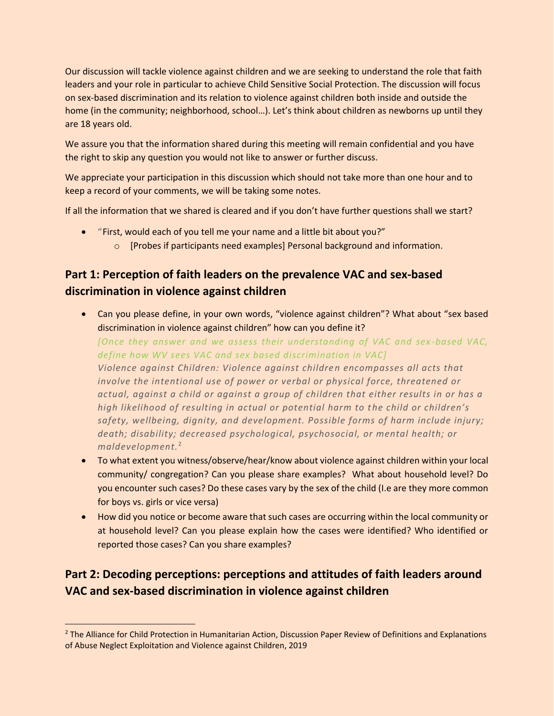Our discussion will tackle violence against children and we are seeking to understand the role that faith leaders and your role in particular to achieve Child Sensitive Social Protection. The discussion will focus on sex-based discrimination and its relation to violence against children both inside and outside the home (in the community; neighborhood, school...). Let's think about children as newborns up until they are 18 years old.

We assure you that the information shared during this meeting will remain confidential and you have the right to skip any question you would not like to answer or further discuss.

We appreciate your participation in this discussion which should not take more than one hour and to keep a record of your comments, we will be taking some notes.

If all the information that we shared is cleared and if you don't have further questions shall we start?

- "First, would each of you tell me your name and a little bit about you?"
	- o [Probes if participants need examples] Personal background and information.

# **Part 1: Perception of faith leaders on the prevalence VAC and sex-based discrimination in violence against children**

• Can you please define, in your own words, "violence against children"? What about "sex based discrimination in violence against children" how can you define it?

*[Once they answer and we assess their understanding of VAC and sex -based VAC, define how WV sees VAC and sex based discrimination in VAC] Violence against Children: Violence against children encompasses all acts that involve the intentional use of power or verbal or physical force, threatened or actual, against a child or against a group of children that either results in or has a high likelihood of resulting in actual or potential harm to the child or children's safety, wellbeing, dignity, and development. Possible forms of harm include injury; death; disability; decreased psychological, psychosocial, or mental health; or maldevelopment.*<sup>2</sup>

- To what extent you witness/observe/hear/know about violence against children within your local community/ congregation? Can you please share examples? What about household level? Do you encounter such cases? Do these cases vary by the sex of the child (I.e are they more common for boys vs. girls or vice versa)
- How did you notice or become aware that such cases are occurring within the local community or at household level? Can you please explain how the cases were identified? Who identified or reported those cases? Can you share examples?

# **Part 2: Decoding perceptions: perceptions and attitudes of faith leaders around VAC and sex-based discrimination in violence against children**

<sup>&</sup>lt;sup>2</sup> The Alliance for Child Protection in Humanitarian Action, Discussion Paper Review of Definitions and Explanations of Abuse Neglect Exploitation and Violence against Children, 2019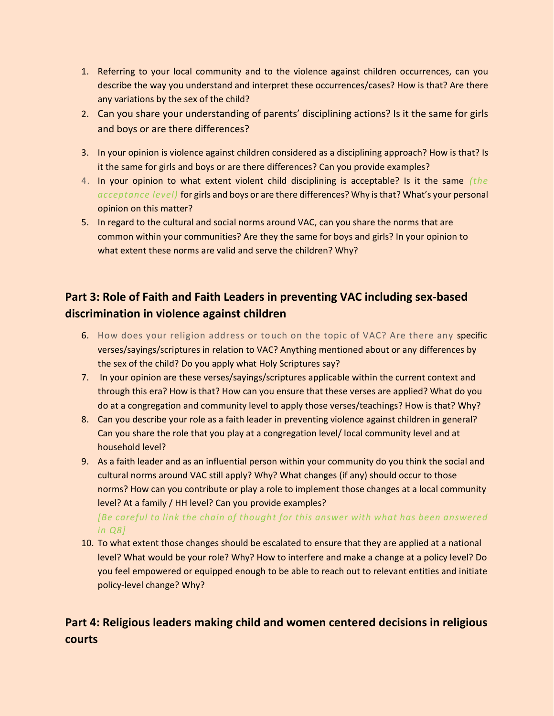- 1. Referring to your local community and to the violence against children occurrences, can you describe the way you understand and interpret these occurrences/cases? How is that? Are there any variations by the sex of the child?
- 2. Can you share your understanding of parents' disciplining actions? Is it the same for girls and boys or are there differences?
- 3. In your opinion is violence against children considered as a disciplining approach? How is that? Is it the same for girls and boys or are there differences? Can you provide examples?
- 4. In your opinion to what extent violent child disciplining is acceptable? Is it the same *(the acceptance level)* for girls and boys or are there differences? Why is that? What's your personal opinion on this matter?
- 5. In regard to the cultural and social norms around VAC, can you share the norms that are common within your communities? Are they the same for boys and girls? In your opinion to what extent these norms are valid and serve the children? Why?

# **Part 3: Role of Faith and Faith Leaders in preventing VAC including sex-based discrimination in violence against children**

- 6. How does your religion address or touch on the topic of VAC? Are there any specific verses/sayings/scriptures in relation to VAC? Anything mentioned about or any differences by the sex of the child? Do you apply what Holy Scriptures say?
- 7. In your opinion are these verses/sayings/scriptures applicable within the current context and through this era? How is that? How can you ensure that these verses are applied? What do you do at a congregation and community level to apply those verses/teachings? How is that? Why?
- 8. Can you describe your role as a faith leader in preventing violence against children in general? Can you share the role that you play at a congregation level/ local community level and at household level?
- 9. As a faith leader and as an influential person within your community do you think the social and cultural norms around VAC still apply? Why? What changes (if any) should occur to those norms? How can you contribute or play a role to implement those changes at a local community level? At a family / HH level? Can you provide examples?

*[Be careful to link the chain of thought for this answer with what has been answered in Q8]*

10. To what extent those changes should be escalated to ensure that they are applied at a national level? What would be your role? Why? How to interfere and make a change at a policy level? Do you feel empowered or equipped enough to be able to reach out to relevant entities and initiate policy-level change? Why?

# **Part 4: Religious leaders making child and women centered decisions in religious courts**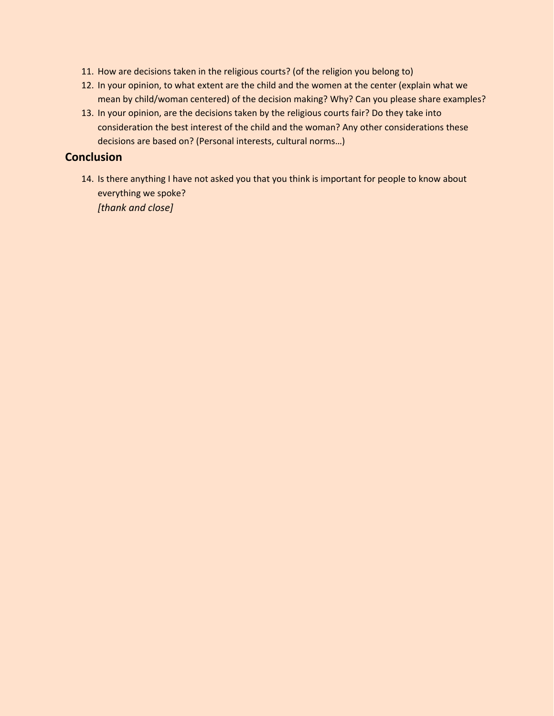- 11. How are decisions taken in the religious courts? (of the religion you belong to)
- 12. In your opinion, to what extent are the child and the women at the center (explain what we mean by child/woman centered) of the decision making? Why? Can you please share examples?
- 13. In your opinion, are the decisions taken by the religious courts fair? Do they take into consideration the best interest of the child and the woman? Any other considerations these decisions are based on? (Personal interests, cultural norms…)

### **Conclusion**

14. Is there anything I have not asked you that you think is important for people to know about everything we spoke? *[thank and close]*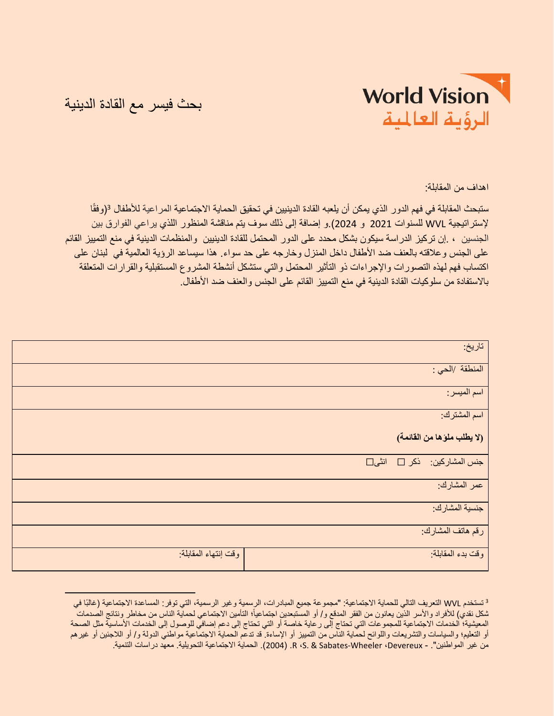

بحث فيسر مع القادة الدينية

اهداف من المقابلة:

ستبحث المقابلة في فهم الدور الذي يمكن أن يلعبه القادة الدينيين في تحقيق الحماية الاجتماعية المر اعية للأطفال <sup>3</sup>(وفقًا إلستراتيجية WVL للسنوات 2021 و 2024(.و إضافة إلى ذلك سوف يتم مناقشة المنظور اللذي يراعي الفوارق بين الجنسين ، .إن تركيز الدراسة سيكون بشكل محدد على الدور المحتمل للقادة الدينيين والمنظمات الدينية في منع التمييز القائم على الجنس وعالقته بالعنف ضد األطفال داخل المنزل وخارجه على حد سواء. هذا سيساعد الرؤية العالمية في لبنان على اكتساب فهم لهذه التصورات واإلجراءات ذو التأثير المحتمل والتي ستشكل أنشطة المشروع المستقبلية والقرارات المتعلقة باالستفادة من سلوكيات القادة الدينية في منع التمييز القائم على الجنس والعنف ضد األطفال.

|                      | تاريخ:                      |
|----------------------|-----------------------------|
|                      | المنطقة /الحي :             |
|                      | اسم الميسر:                 |
|                      | اسم المشترك:                |
|                      | (لا يطلب ملوَها من القائمة) |
|                      | جنس المشاركين: ذكر □ انشى□  |
|                      | عمر المشارك:                |
|                      | جنسية المشارك:              |
|                      | رقم هاتف المشارك:           |
| وقت إنتهاء المقابلة: | وقت بدء المقابلة:           |

<sup>&</sup>lt;sup>3</sup> تستخدم WVL التعريف التالي للحماية الاجتماعية: "مجمو عة جميع المبادرات، الرسمية وغير الرسمية، التي توفر: المساعدة الاجتماعية (غالبًا في شكل نقدي) للأفراد والأسر الذين يعانون من الفقر المدقع و/ أو المستبعدين اجتماعياً؛ التأمين الاجتماعي لحماية الناس من مخاطر ونتائج الصدمات المعيشية؛ الخدمات الاجتماعية للمجموعات التي تحتاج إلى رعاية خاصة أو التي تحتاج إلى دعم إضافي للوصول إلى الخدمات الأساسية مثل الصحة أو التعليم؛ والسياسات والتشريعات واللوائح لحماية الناس من التمييز أو اإلساءة. قد تدعم الحماية االجتماعية مواطني الدولة و/ أو الالجئين أو غيرهم من غير المواطنين". - R ،S. & Sabates-Wheeler ،Devereux. (2004). الحماية الاجتماعية التحويلية. معهد دراسات التنمية.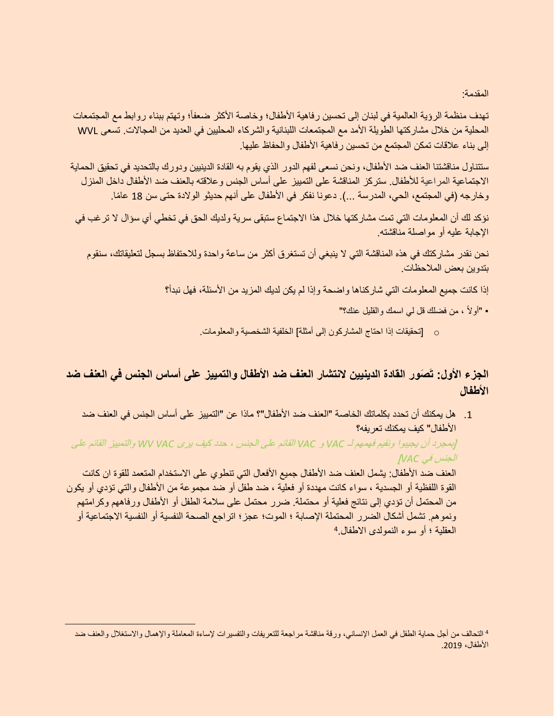المقدمة:

تهدف منظمة الروية العالمية في لبنان إلى تحسين رفاهية الأطفال؛ وخاصة الأكثر ضعفاً؛ وتهتم ببناء روابط مع المجتمعات المحلية من خالل مشاركتها الطويلة األمد مع المجتمعات اللبنانية والشركاء المحليين في العديد من المجاالت. تسعى WVL إلى بناء علاقات تمكن المجتمع من تحسين رفاهية الأطفال والحفاظ عليها.

ستتناول مناقشتنا العنف ضد األطفال، ونحن نسعى لفهم الدور الذي يقوم به القادة الدينيين ودورك بالتحديد في تحقيق الحماية االجتماعية المراعية لألطفال. ستركز المناقشة على التمييز على أساس الجنس وعالقته بالعنف ضد األطفال داخل المنزل وخارجه (في المجتمع، الحي، المدرسة ...). دعونا نفكر في الأطفال على أنهم حديثو الولادة حتى سن 18 عامًا.

نؤكد لك أن المعلومات التي تمت مشاركتها خالل هذا االجتماع ستبقى سرية ولديك الحق في تخطي أي سؤال ال ترغب في اإلجابة عليه أو مواصلة مناقشته.

نحن نقدر مشاركتك في هذه المناقشة التي ال ينبغي أن تستغرق أكثر من ساعة واحدة ولالحتفاظ بسجل لتعليقاتك، سنقوم بتدوين بعض المالحظات.

إذا كانت جميع المعلومات التي شاركناها واضحة وإذا لم يكن لديك المزيد من األسئلة، فهل نبدأ؟

- "أوالً ، من فضلك قل لي اسمك والقليل عنك؟"
- o[ تحقيقات إذا احتاج المشاركون إلى أمثلة[ الخلفية الشخصية والمعلومات.

# **صور القادة الدينيين النتشار العنف ضد األطفال والتمييز على أساس الجنس في العنف ضد الجزء األول: ت األطفال**

.1 هل يمكنك أن تحدد بكلماتك الخاصة "العنف ضد األطفال"؟ ماذا عن "التمييز على أساس الجنس في العنف ضد األطفال" كيف يمكنك تعريفه؟

]بمجرد أن يجيبوا ونقيم فهمهم لـ *VAC* <sup>و</sup> *VAC* القائم على الجنس ، حدد كيف يرى *VAC WV* والتمييز القائم على الجنس في *VAC*]

العنف ضد الأطفال: يشمل العنف ضد الأطفال جميع الأفعال التي تنطوي على الاستخدام المتعمد للقوة ان كانت القوة اللفظية أو الجسدية ، سواء كانت مهددة أو فعلية ، ضد طفل أو ضد مجموعة من األطفال والتي تؤدي أو يكون من المحتمل أن تؤدي إلى نتائج فعلية أو محتملة. ضرر محتمل على سالمة الطفل أو األطفال ورفاههم وكرامتهم ونموهم. تشمل أشكال الضرر المحتملة اإلصابة ؛ الموت؛ عجز؛ اتراجع الصحة النفسية أو النفسية االجتماعية أو 4 العقلية ؛ أو سوء النمولدى االطفال.

<sup>4</sup> التحالف من أجل حماية الطفل في العمل اإلنساني، ورقة مناقشة مراجعة للتعريفات والتفسيرات إلساءة المعاملة واإلهمال واالستغالل والعنف ضد الأطفال، 2019.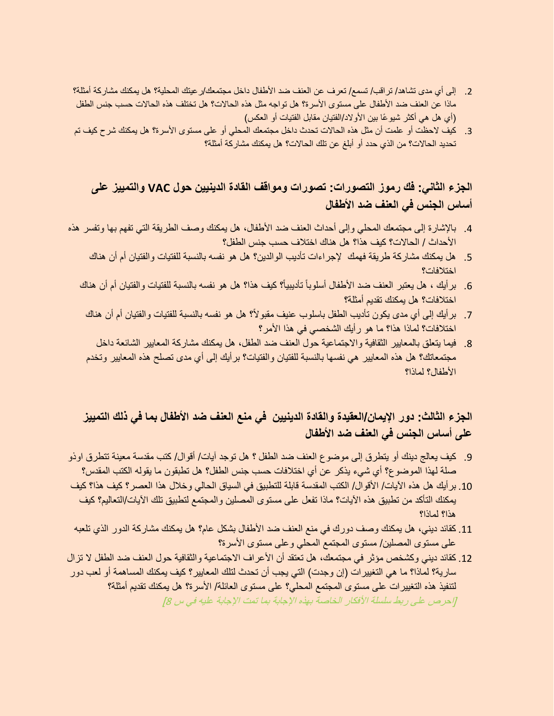- 2. إلى أي مدى تشاهد/ تراقب/ تسمع/ تعرف عن العنف ضد الأطفال داخل مجتمعك/ر عيتك المحلية؟ هل يمكنك مشاركة أمثلة؟ ماذا عن العنف ضد األطفال على مستوى األسرة؟ هل تواجه مثل هذه الحاالت؟ هل تختلف هذه الحاالت حسب جنس الطفل )أي هل هي أكثر شيو ًعا بين األوالد/الفتيان مقابل الفتيات أو العكس(
- 3. كيف لاحظت أو علمت أن مثل هذه الحالات تحدث داخل مجتمعك المحلي أو على مستوى الأسرة؟ هل يمكنك شر ح كيف تم تحديد الحاالت؟ من الذي حدد أو أبلغ عن تلك الحاالت؟ هل يمكنك مشاركة أمثلة؟

# **الجزء الثاني: فك رموز التصورات: تصورات ومواقف القادة الدينيين حول VAC والتمييز على أساس الجنس في العنف ضد األطفال**

- .4 باإلشارة إلى مجتمعك المحلي وإلى أحداث العنف ضد األطفال، هل يمكنك وصف الطريقة التي تفهم بها وتفسر هذه األحداث / الحاالت؟ كيف هذا؟ هل هناك اختالف حسب جنس الطفل؟
	- .5 هل يمكنك مشاركة طريقة فهمك إلجراءات تأديب الوالدين؟ هل هو نفسه بالنسبة للفتيات والفتيان أم أن هناك اختالفات؟
	- 6\_ برأيك ، هل يعتبر العنف ضد الأطفال أسلوباً تأديبياً؟ كيف هذا؟ هل هو نفسه بالنسبة للفتيات والفتيان أم أن هناك اختالفات؟ هل يمكنك تقديم أمثلة؟
		- .7 برأيك إلى أي مدى يكون تأديب الطفل باسلوب عنيف مقبوالً؟ هل هو نفسه بالنسبة للفتيات والفتيان أم أن هناك اختلافات؟ لماذا هذا؟ ما هو رأيك الشخصيي في هذا الأمر؟
		- .8 فيما يتعلق بالمعايير الثقافية واالجتماعية حول العنف ضد الطفل، هل يمكنك مشاركة المعايير الشائعة داخل مجتمعاتك؟ هل هذه المعايير هي نفسها بالنسبة للفتيان والفتيات؟ برأيك إلى أي مدى تصلح هذه المعايير وتخدم األطفال؟ لماذا؟

# **الجزء الثالث: دور اإليمان/العقيدة والقادة الدينيين في منع العنف ضد األطفال بما في ذلك التمييز على أساس الجنس في العنف ضد األطفال**

- .9 كيف يعالج دينك أو يتطرق إلى موضوع العنف ضد الطفل ؟ هل توجد آيات/ أقوال/ كتب مقدسة معينة تتطرق اوذو صلة لهذا الموضوع؟ أي شيء يذكر عن أي اختالفات حسب جنس الطفل؟ هل تطبقون ما يقوله الكتب المقدس؟
- .10 برأيك هل هذه اآليات/ األقوال/ الكتب المقدسة قابلة للتطبيق في السياق الحالي وخالل هذا العصر؟ كيف هذا؟ كيف يمكنك التأكد من تطبيق هذه اآليات؟ ماذا تفعل على مستوى المصلين والمجتمع لتطبيق تلك اآليات/التعاليم؟ كيف هذا؟ لماذا؟
- .11 كقائد ديني، هل يمكنك وصف دورك في منع العنف ضد األطفال بشكل عام؟ هل يمكنك مشاركة الدور الذي تلعبه على مستوى المصلين/ مستوى المجتمع المحلي وعلى مستوى األسرة؟
- 12. كقائد ديني وكشخص مؤثر في مجتمعك، هل تعتقد أن الأعراف الاجتماعية والثقافية حول العنف ضد الطفل لا تزال سارية؟ لماذا؟ ما هي التغييرات (إن وجدت) التي يجب أن تحدث لتلك المعايير ؟ كيف يمكنك المساهمة أو لعب دور لتنفيذ هذه التغييرات على مستوى المجتمع المحلي؟ على مستوى العائلة/ األسرة؟ هل يمكنك تقديم أمثلة؟ [احر ص على ربط سلسلة الأفكار الخاصة بهذه الإجابة بما تمت الإجابة عليه في س 8]